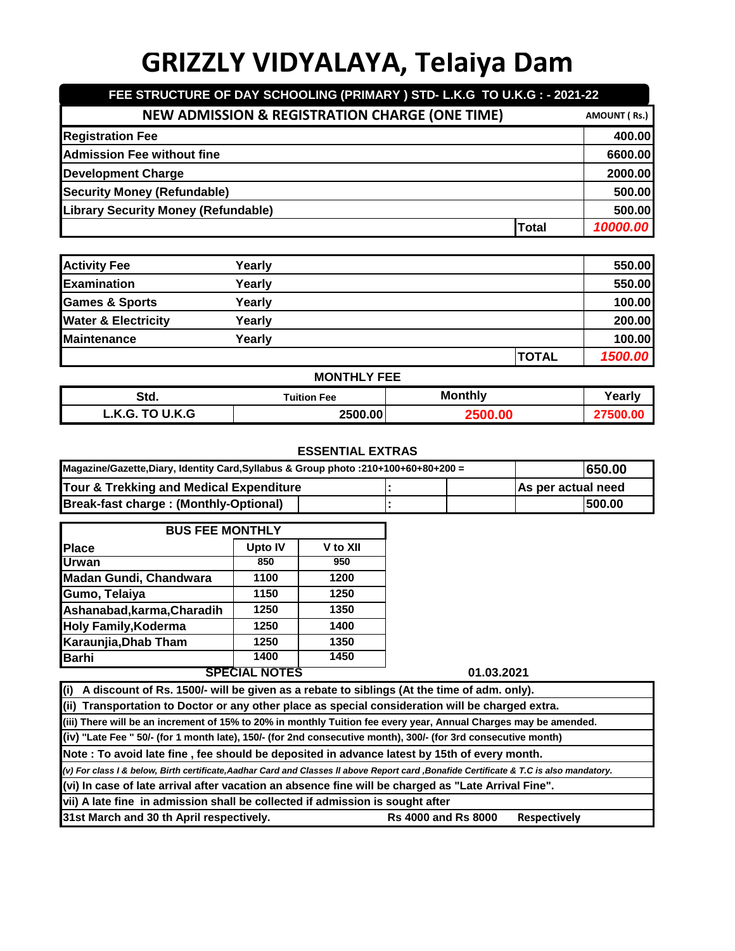## FEE STRUCTURE OF DAY SCHOOLING (PRIMARY ) STD- L.K.G TO U.K.G : - 2021-22

| <b>NEW ADMISSION &amp; REGISTRATION CHARGE (ONE TIME)</b> |       | AMOUNT (Rs.) |
|-----------------------------------------------------------|-------|--------------|
| <b>Registration Fee</b>                                   |       | 400.00       |
| <b>Admission Fee without fine</b>                         |       | 6600.00      |
| <b>Development Charge</b>                                 |       | 2000.00      |
| <b>Security Money (Refundable)</b>                        |       | 500.00       |
| <b>Library Security Money (Refundable)</b>                |       | 500.00       |
|                                                           | Total | 10000.00     |

| <b>Activity Fee</b>            | Yearly |              | 550.00  |
|--------------------------------|--------|--------------|---------|
| <b>Examination</b>             | Yearly |              | 550.00  |
| <b>Games &amp; Sports</b>      | Yearly |              | 100.00  |
| <b>Water &amp; Electricity</b> | Yearly |              | 200.00  |
| <b>Maintenance</b>             | Yearly |              | 100.00  |
|                                |        | <b>TOTAL</b> | 1500.00 |

## **MONTHLY FEE**

| Std.                                                    | า Fee<br>Tuition | <b>Monthly</b> | $\blacksquare$<br>Yearl |
|---------------------------------------------------------|------------------|----------------|-------------------------|
| $\mathbf{1}$ $\mathbf{1}$ $\mathbf{2}$<br>L.K.G.<br>۸.G | 2500 00          |                |                         |

| Magazine/Gazette,Diary, Identity Card,Syllabus & Group photo :210+100+60+80+200 = |  |  |                    |  | 1650.00 |
|-----------------------------------------------------------------------------------|--|--|--------------------|--|---------|
| Tour & Trekking and Medical Expenditure                                           |  |  | As per actual need |  |         |
| <b>Break-fast charge: (Monthly-Optional)</b>                                      |  |  |                    |  | 1500.00 |

| <b>BUS FEE MONTHLY</b>      |                      |          |
|-----------------------------|----------------------|----------|
| <b>Place</b>                | <b>Upto IV</b>       | V to XII |
| <b>Urwan</b>                | 850                  | 950      |
| Madan Gundi, Chandwara      | 1100                 | 1200     |
| Gumo, Telaiya               | 1150                 | 1250     |
| Ashanabad, karma, Charadih  | 1250                 | 1350     |
| <b>Holy Family, Koderma</b> | 1250                 | 1400     |
| Karaunjia, Dhab Tham        | 1250                 | 1350     |
| Barhi                       | 1400                 | 1450     |
|                             | <b>SPECIAL NOTES</b> |          |

| $(i)$ A discount of Rs. 1500/- will be given as a rebate to siblings (At the time of adm. only).                                         |                                                                                                                |                     |  |  |  |  |
|------------------------------------------------------------------------------------------------------------------------------------------|----------------------------------------------------------------------------------------------------------------|---------------------|--|--|--|--|
| (ii) Transportation to Doctor or any other place as special consideration will be charged extra.                                         |                                                                                                                |                     |  |  |  |  |
| (iii) There will be an increment of 15% to 20% in monthly Tuition fee every year, Annual Charges may be amended.                         |                                                                                                                |                     |  |  |  |  |
|                                                                                                                                          | (iv) "Late Fee " 50/- (for 1 month late), 150/- (for 2nd consecutive month), 300/- (for 3rd consecutive month) |                     |  |  |  |  |
| Note: To avoid late fine, fee should be deposited in advance latest by 15th of every month.                                              |                                                                                                                |                     |  |  |  |  |
| (v) For class I & below, Birth certificate, Aadhar Card and Classes II above Report card , Bonafide Certificate & T.C is also mandatory. |                                                                                                                |                     |  |  |  |  |
| (vi) In case of late arrival after vacation an absence fine will be charged as "Late Arrival Fine".                                      |                                                                                                                |                     |  |  |  |  |
| vii) A late fine in admission shall be collected if admission is sought after                                                            |                                                                                                                |                     |  |  |  |  |
| 31st March and 30 th April respectively.                                                                                                 | <b>Rs 4000 and Rs 8000</b>                                                                                     | <b>Respectively</b> |  |  |  |  |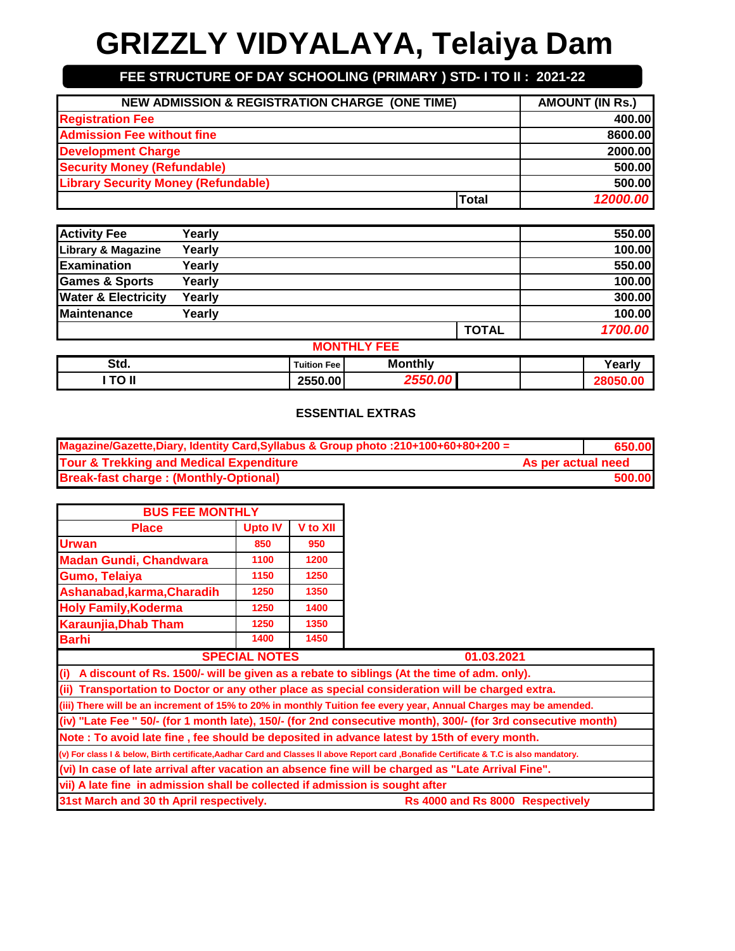## **FEE STRUCTURE OF DAY SCHOOLING (PRIMARY ) STD- I TO II : 2021-22**

| <b>NEW ADMISSION &amp; REGISTRATION CHARGE (ONE TIME)</b> |              | <b>AMOUNT (IN Rs.)</b> |
|-----------------------------------------------------------|--------------|------------------------|
| <b>Registration Fee</b>                                   |              | 400.00                 |
| <b>Admission Fee without fine</b>                         |              | 8600.00                |
| <b>Development Charge</b>                                 |              | 2000.00                |
| <b>Security Money (Refundable)</b>                        |              | 500.00                 |
| <b>Library Security Money (Refundable)</b>                |              | 500.00                 |
|                                                           | <b>Total</b> | 12000.00               |

| <b>Activity Fee</b>            | Yearly |                     |              | 550.00  |
|--------------------------------|--------|---------------------|--------------|---------|
| <b>Library &amp; Magazine</b>  | Yearly |                     |              | 100.00  |
| <b>Examination</b>             | Yearly |                     |              | 550.00  |
| <b>Games &amp; Sports</b>      | Yearly |                     |              | 100.00  |
| <b>Water &amp; Electricity</b> | Yearly |                     |              | 300.00  |
| <b>Maintenance</b>             | Yearly |                     |              | 100.00  |
|                                |        |                     | <b>TOTAL</b> | 1700.00 |
|                                |        | <b>MONTHI Y FFF</b> |              |         |

| <b>WUNITLIFEE</b> |                      |                |  |        |
|-------------------|----------------------|----------------|--|--------|
| Std.              | <b>Tuition Fee I</b> | <b>Monthly</b> |  | Yearly |
| TO II             | 2550.00              | OFFA<br>nn i   |  |        |

| Magazine/Gazette,Diary, Identity Card,Syllabus & Group photo: 210+100+60+80+200 = |                    | 650.00 |
|-----------------------------------------------------------------------------------|--------------------|--------|
| Tour & Trekking and Medical Expenditure                                           | As per actual need |        |
| <b>Break-fast charge: (Monthly-Optional)</b>                                      |                    | 500.00 |

| <b>BUS FEE MONTHLY</b>                                                        |                      |          |                                                                                                                                          |
|-------------------------------------------------------------------------------|----------------------|----------|------------------------------------------------------------------------------------------------------------------------------------------|
| <b>Place</b>                                                                  | <b>Upto IV</b>       | V to XII |                                                                                                                                          |
| <b>Urwan</b>                                                                  | 850                  | 950      |                                                                                                                                          |
| <b>Madan Gundi, Chandwara</b>                                                 | 1100                 | 1200     |                                                                                                                                          |
| <b>Gumo, Telaiya</b>                                                          | 1150                 | 1250     |                                                                                                                                          |
| Ashanabad, karma, Charadih                                                    | 1250                 | 1350     |                                                                                                                                          |
| <b>Holy Family, Koderma</b>                                                   | 1250                 | 1400     |                                                                                                                                          |
| Karaunjia, Dhab Tham                                                          | 1250                 | 1350     |                                                                                                                                          |
| <b>Barhi</b>                                                                  | 1400                 | 1450     |                                                                                                                                          |
|                                                                               | <b>SPECIAL NOTES</b> |          | 01.03.2021                                                                                                                               |
| (i)                                                                           |                      |          | A discount of Rs. 1500/- will be given as a rebate to siblings (At the time of adm. only).                                               |
|                                                                               |                      |          | (ii) Transportation to Doctor or any other place as special consideration will be charged extra.                                         |
|                                                                               |                      |          | (iii) There will be an increment of 15% to 20% in monthly Tuition fee every year, Annual Charges may be amended.                         |
|                                                                               |                      |          | (iv) "Late Fee " 50/- (for 1 month late), 150/- (for 2nd consecutive month), 300/- (for 3rd consecutive month)                           |
|                                                                               |                      |          | Note: To avoid late fine, fee should be deposited in advance latest by 15th of every month.                                              |
|                                                                               |                      |          | (v) For class I & below, Birth certificate, Aadhar Card and Classes II above Report card , Bonafide Certificate & T.C is also mandatory. |
|                                                                               |                      |          | (vi) In case of late arrival after vacation an absence fine will be charged as "Late Arrival Fine".                                      |
| vii) A late fine in admission shall be collected if admission is sought after |                      |          |                                                                                                                                          |
| 31st March and 30 th April respectively.                                      |                      |          | Rs 4000 and Rs 8000 Respectively                                                                                                         |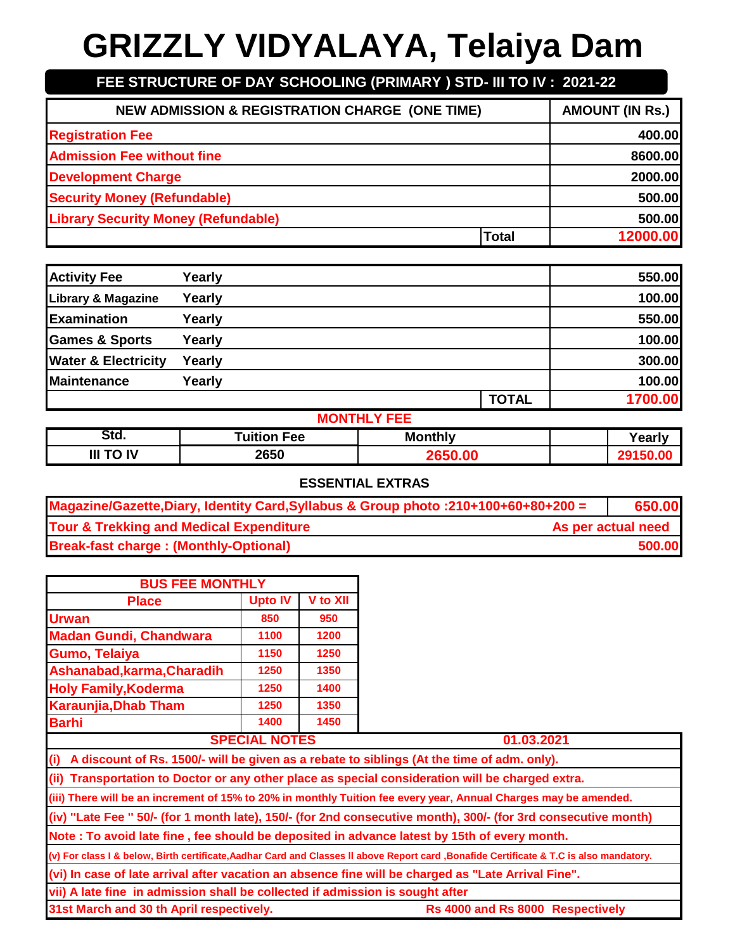# **FEE STRUCTURE OF DAY SCHOOLING (PRIMARY ) STD- III TO IV : 2021-22**

| <b>NEW ADMISSION &amp; REGISTRATION CHARGE (ONE TIME)</b> | <b>AMOUNT (IN Rs.)</b> |          |
|-----------------------------------------------------------|------------------------|----------|
| <b>Registration Fee</b>                                   |                        | 400.00   |
| <b>Admission Fee without fine</b>                         |                        | 8600.00  |
| <b>Development Charge</b>                                 |                        | 2000.00  |
| <b>Security Money (Refundable)</b>                        |                        | 500.00   |
| <b>Library Security Money (Refundable)</b>                |                        | 500.00   |
|                                                           | <b>Total</b>           | 12000.00 |

| <b>Activity Fee</b>            | Yearly |              | 550.00  |
|--------------------------------|--------|--------------|---------|
| Library & Magazine             | Yearly |              | 100.00  |
| Examination                    | Yearly |              | 550.00  |
| <b>Games &amp; Sports</b>      | Yearly |              | 100.00  |
| <b>Water &amp; Electricity</b> | Yearly |              | 300.00  |
| <b>Maintenance</b>             | Yearly |              | 100.00  |
|                                |        | <b>TOTAL</b> | 1700.00 |

**MONTHLY FEE**

| Std.               | <b>Tuition Fee</b> | <b>Monthly</b> | $V_{\alpha\alpha r}$<br>ca |
|--------------------|--------------------|----------------|----------------------------|
| <b>TO IV</b><br>Ш. | 2650               |                |                            |

| Magazine/Gazette,Diary, Identity Card,Syllabus & Group photo :210+100+60+80+200 = | 650.00             |
|-----------------------------------------------------------------------------------|--------------------|
| <b>Tour &amp; Trekking and Medical Expenditure</b>                                | As per actual need |
| <b>Break-fast charge: (Monthly-Optional)</b>                                      | 500.00             |

| <b>BUS FEE MONTHLY</b>                                                        |                      |                 |                                                                                                                                          |
|-------------------------------------------------------------------------------|----------------------|-----------------|------------------------------------------------------------------------------------------------------------------------------------------|
| <b>Place</b>                                                                  | <b>Upto IV</b>       | <b>V</b> to XII |                                                                                                                                          |
| <b>Urwan</b>                                                                  | 850                  | 950             |                                                                                                                                          |
| <b>Madan Gundi, Chandwara</b>                                                 | 1100                 | 1200            |                                                                                                                                          |
| <b>Gumo, Telaiya</b>                                                          | 1150                 | 1250            |                                                                                                                                          |
| Ashanabad, karma, Charadih                                                    | 1250                 | 1350            |                                                                                                                                          |
| <b>Holy Family, Koderma</b>                                                   | 1250                 | 1400            |                                                                                                                                          |
| Karaunjia, Dhab Tham                                                          | 1250                 | 1350            |                                                                                                                                          |
| <b>Barhi</b>                                                                  | 1400                 | 1450            |                                                                                                                                          |
|                                                                               | <b>SPECIAL NOTES</b> |                 | 01.03.2021                                                                                                                               |
| (i)                                                                           |                      |                 | A discount of Rs. 1500/- will be given as a rebate to siblings (At the time of adm. only).                                               |
|                                                                               |                      |                 | (ii) Transportation to Doctor or any other place as special consideration will be charged extra.                                         |
|                                                                               |                      |                 | (iii) There will be an increment of 15% to 20% in monthly Tuition fee every year, Annual Charges may be amended.                         |
|                                                                               |                      |                 | (iv) "Late Fee " 50/- (for 1 month late), 150/- (for 2nd consecutive month), 300/- (for 3rd consecutive month)                           |
|                                                                               |                      |                 | Note: To avoid late fine, fee should be deposited in advance latest by 15th of every month.                                              |
|                                                                               |                      |                 | (v) For class I & below, Birth certificate, Aadhar Card and Classes II above Report card , Bonafide Certificate & T.C is also mandatory. |
|                                                                               |                      |                 | (vi) In case of late arrival after vacation an absence fine will be charged as "Late Arrival Fine".                                      |
| vii) A late fine in admission shall be collected if admission is sought after |                      |                 |                                                                                                                                          |
| 31st March and 30 th April respectively.                                      |                      |                 | Rs 4000 and Rs 8000 Respectively                                                                                                         |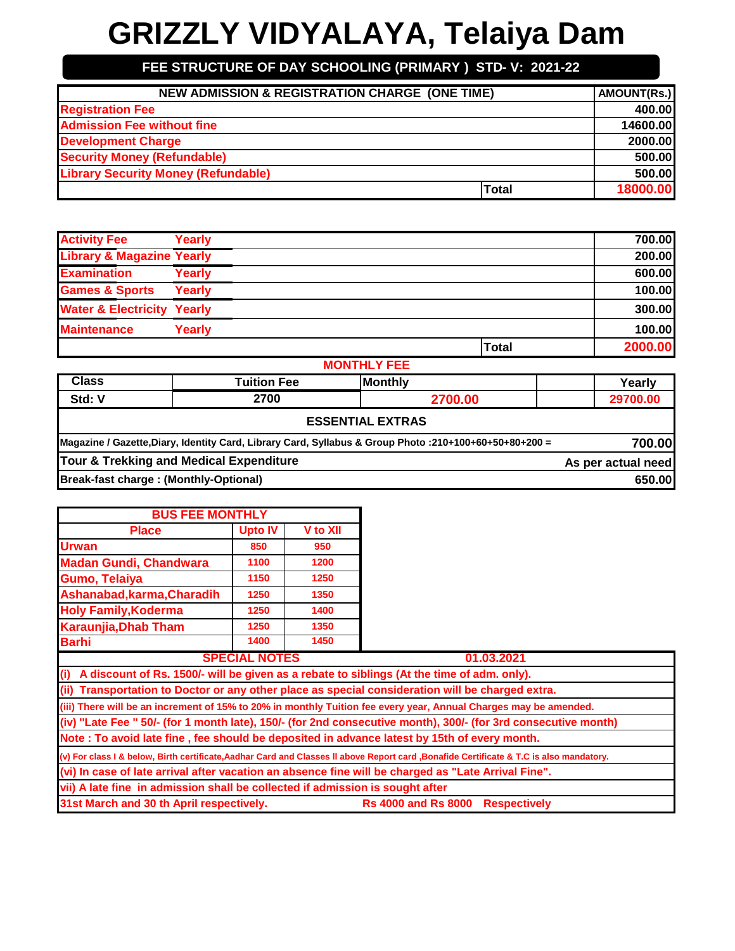# **FEE STRUCTURE OF DAY SCHOOLING (PRIMARY ) STD- V: 2021-22**

| <b>NEW ADMISSION &amp; REGISTRATION CHARGE (ONE TIME)</b><br><b>AMOUNT(Rs.)</b> |              |          |  |  |
|---------------------------------------------------------------------------------|--------------|----------|--|--|
| <b>Registration Fee</b>                                                         |              | 400.00   |  |  |
| <b>Admission Fee without fine</b>                                               |              | 14600.00 |  |  |
| <b>Development Charge</b>                                                       |              | 2000.00  |  |  |
| <b>Security Money (Refundable)</b>                                              |              | 500.00   |  |  |
| <b>Library Security Money (Refundable)</b>                                      |              | 500.00   |  |  |
|                                                                                 | <b>Total</b> | 18000.00 |  |  |

|                                       |        | <b>MONTHI V EEE</b> |         |
|---------------------------------------|--------|---------------------|---------|
|                                       |        | <b>Total</b>        | 2000.00 |
| <b>Maintenance</b>                    | Yearly |                     | 100.00  |
| <b>Water &amp; Electricity Yearly</b> |        |                     | 300.00  |
| <b>Games &amp; Sports</b>             | Yearly |                     | 100.00  |
| <b>Examination</b>                    | Yearly |                     | 600.00  |
| <b>Library &amp; Magazine Yearly</b>  |        |                     | 200.00  |
| <b>Activity Fee</b>                   | Yearly |                     | 700.00  |

| <b>WUNIFILIFEE</b>                                            |                                                                                                                  |                |          |  |  |  |  |
|---------------------------------------------------------------|------------------------------------------------------------------------------------------------------------------|----------------|----------|--|--|--|--|
| <b>Class</b>                                                  | <b>Tuition Fee</b>                                                                                               | <b>Monthly</b> | Yearly   |  |  |  |  |
| Std: V                                                        | 2700                                                                                                             | 2700.00        | 29700.00 |  |  |  |  |
|                                                               | <b>ESSENTIAL EXTRAS</b>                                                                                          |                |          |  |  |  |  |
|                                                               | Magazine / Gazette, Diary, Identity Card, Library Card, Syllabus & Group Photo: 210+100+60+50+80+200 =<br>700.00 |                |          |  |  |  |  |
| Tour & Trekking and Medical Expenditure<br>As per actual need |                                                                                                                  |                |          |  |  |  |  |
| Break-fast charge: (Monthly-Optional)                         |                                                                                                                  |                | 650.00   |  |  |  |  |

| <b>BUS FEE MONTHLY</b>                                                        |                      |          |                                                                                                                                          |
|-------------------------------------------------------------------------------|----------------------|----------|------------------------------------------------------------------------------------------------------------------------------------------|
| <b>Place</b>                                                                  | <b>Upto IV</b>       | V to XII |                                                                                                                                          |
| <b>Urwan</b>                                                                  | 850                  | 950      |                                                                                                                                          |
| <b>Madan Gundi, Chandwara</b>                                                 | 1100                 | 1200     |                                                                                                                                          |
| <b>Gumo, Telaiya</b>                                                          | 1150                 | 1250     |                                                                                                                                          |
| Ashanabad, karma, Charadih                                                    | 1250                 | 1350     |                                                                                                                                          |
| <b>Holy Family, Koderma</b>                                                   | 1250                 | 1400     |                                                                                                                                          |
| <b>Karaunjia, Dhab Tham</b>                                                   | 1250                 | 1350     |                                                                                                                                          |
| <b>Barhi</b>                                                                  | 1400                 | 1450     |                                                                                                                                          |
|                                                                               | <b>SPECIAL NOTES</b> |          | 01.03.2021                                                                                                                               |
|                                                                               |                      |          | (i) A discount of Rs. 1500/- will be given as a rebate to siblings (At the time of adm. only).                                           |
|                                                                               |                      |          | (ii) Transportation to Doctor or any other place as special consideration will be charged extra.                                         |
|                                                                               |                      |          | (iii) There will be an increment of 15% to 20% in monthly Tuition fee every year, Annual Charges may be amended.                         |
|                                                                               |                      |          | (iv) "Late Fee " 50/- (for 1 month late), 150/- (for 2nd consecutive month), 300/- (for 3rd consecutive month)                           |
|                                                                               |                      |          | Note: To avoid late fine, fee should be deposited in advance latest by 15th of every month.                                              |
|                                                                               |                      |          | (v) For class I & below, Birth certificate, Aadhar Card and Classes II above Report card , Bonafide Certificate & T.C is also mandatory. |
|                                                                               |                      |          | (vi) In case of late arrival after vacation an absence fine will be charged as "Late Arrival Fine".                                      |
| vii) A late fine in admission shall be collected if admission is sought after |                      |          |                                                                                                                                          |
| 31st March and 30 th April respectively.                                      |                      |          | <b>Rs 4000 and Rs 8000</b><br><b>Respectively</b>                                                                                        |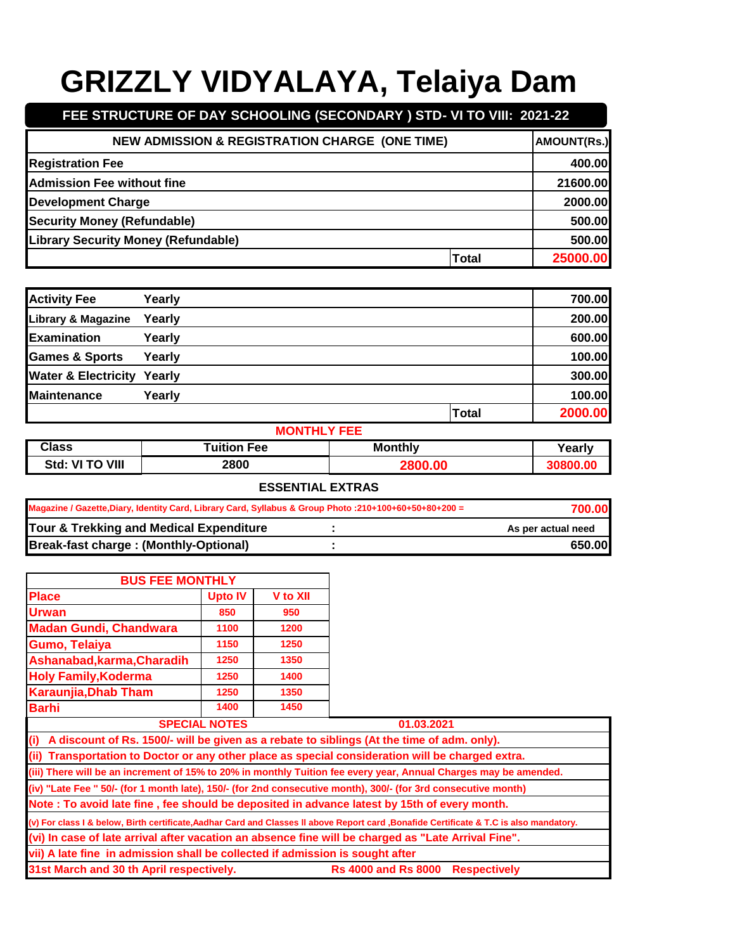## **AMOUNT(Rs.) NEW ADMISSION & REGISTRATION CHARGE (ONE TIME) FEE STRUCTURE OF DAY SCHOOLING (SECONDARY ) STD- VI TO VIII: 2021-22**

| <b>Registration Fee</b>                    |              | 400.00   |
|--------------------------------------------|--------------|----------|
| <b>Admission Fee without fine</b>          |              | 21600.00 |
| <b>Development Charge</b>                  |              | 2000.00  |
| <b>Security Money (Refundable)</b>         |              | 500.00   |
| <b>Library Security Money (Refundable)</b> |              | 500.00   |
|                                            | <b>Total</b> | 25000.00 |

| <b>Activity Fee</b>                   | Yearly |  |              | 700.00  |
|---------------------------------------|--------|--|--------------|---------|
| <b>Library &amp; Magazine</b>         | Yearly |  |              | 200.00  |
| <b>Examination</b>                    | Yearly |  |              | 600.00  |
| <b>Games &amp; Sports</b>             | Yearly |  |              | 100.00  |
| <b>Water &amp; Electricity Yearly</b> |        |  |              | 300.00  |
| <b>Maintenance</b>                    | Yearly |  |              | 100.00  |
|                                       |        |  | <b>Total</b> | 2000.00 |

| M | <b>MONTHLY</b> |  |  | − |
|---|----------------|--|--|---|
|   |                |  |  |   |

| Class           | Tuition Fee | Monthly | Yearly   |
|-----------------|-------------|---------|----------|
| Std: VI TO VIII | 2800        | 2800.00 | 80800.00 |
|                 |             |         |          |

| Magazine / Gazette, Diary, Identity Card, Library Card, Syllabus & Group Photo: 210+100+60+50+80+200 = | 700.00 |                    |
|--------------------------------------------------------------------------------------------------------|--------|--------------------|
| Tour & Trekking and Medical Expenditure                                                                |        | As per actual need |
| Break-fast charge: (Monthly-Optional)                                                                  |        | 650.001            |

| <b>BUS FEE MONTHLY</b>                                                                              |                                                                                               |          |                                                                                                                                          |  |  |
|-----------------------------------------------------------------------------------------------------|-----------------------------------------------------------------------------------------------|----------|------------------------------------------------------------------------------------------------------------------------------------------|--|--|
| <b>Place</b>                                                                                        | <b>Upto IV</b>                                                                                | V to XII |                                                                                                                                          |  |  |
| <b>Urwan</b>                                                                                        | 850                                                                                           | 950      |                                                                                                                                          |  |  |
| <b>Madan Gundi, Chandwara</b>                                                                       | 1100                                                                                          | 1200     |                                                                                                                                          |  |  |
| <b>Gumo, Telaiya</b>                                                                                | 1150                                                                                          | 1250     |                                                                                                                                          |  |  |
| Ashanabad, karma, Charadih                                                                          | 1250                                                                                          | 1350     |                                                                                                                                          |  |  |
| <b>Holy Family, Koderma</b>                                                                         | 1250                                                                                          | 1400     |                                                                                                                                          |  |  |
| <b>Karaunjia, Dhab Tham</b>                                                                         | 1250                                                                                          | 1350     |                                                                                                                                          |  |  |
| <b>Barhi</b>                                                                                        | 1400                                                                                          | 1450     |                                                                                                                                          |  |  |
| <b>SPECIAL NOTES</b><br>01.03.2021                                                                  |                                                                                               |          |                                                                                                                                          |  |  |
| (i)<br>A discount of Rs. 1500/- will be given as a rebate to siblings (At the time of adm. only).   |                                                                                               |          |                                                                                                                                          |  |  |
|                                                                                                     |                                                                                               |          | (ii) Transportation to Doctor or any other place as special consideration will be charged extra.                                         |  |  |
|                                                                                                     |                                                                                               |          | (iii) There will be an increment of 15% to 20% in monthly Tuition fee every year, Annual Charges may be amended.                         |  |  |
|                                                                                                     |                                                                                               |          | (iv) "Late Fee " 50/- (for 1 month late), 150/- (for 2nd consecutive month), 300/- (for 3rd consecutive month)                           |  |  |
|                                                                                                     |                                                                                               |          | Note: To avoid late fine, fee should be deposited in advance latest by 15th of every month.                                              |  |  |
|                                                                                                     |                                                                                               |          | (v) For class I & below, Birth certificate, Aadhar Card and Classes II above Report card , Bonafide Certificate & T.C is also mandatory. |  |  |
| (vi) In case of late arrival after vacation an absence fine will be charged as "Late Arrival Fine". |                                                                                               |          |                                                                                                                                          |  |  |
| vii) A late fine in admission shall be collected if admission is sought after                       |                                                                                               |          |                                                                                                                                          |  |  |
|                                                                                                     | 31st March and 30 th April respectively.<br><b>Rs 4000 and Rs 8000</b><br><b>Respectively</b> |          |                                                                                                                                          |  |  |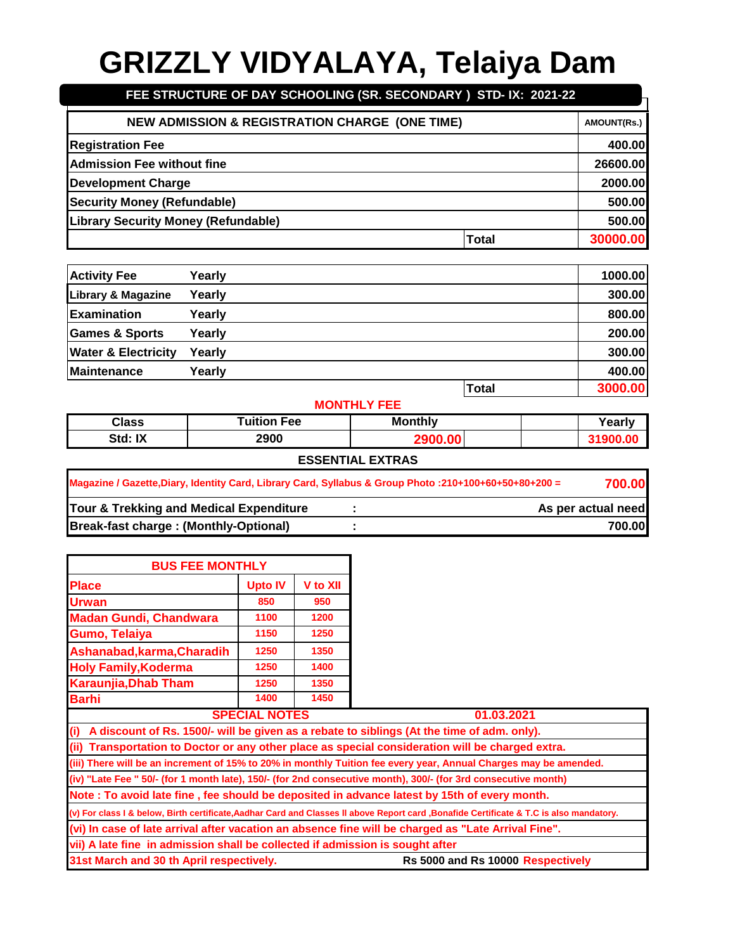| FEE STRUCTURE OF DAY SCHOOLING (SR. SECONDARY ) STD- IX: 2021-22 |              |          |  |  |
|------------------------------------------------------------------|--------------|----------|--|--|
| <b>NEW ADMISSION &amp; REGISTRATION CHARGE (ONE TIME)</b>        |              |          |  |  |
| <b>Registration Fee</b>                                          |              | 400.00   |  |  |
| <b>Admission Fee without fine</b>                                |              | 26600.00 |  |  |
| <b>Development Charge</b>                                        |              | 2000.00  |  |  |
| <b>Security Money (Refundable)</b>                               |              |          |  |  |
| <b>Library Security Money (Refundable)</b>                       |              |          |  |  |
|                                                                  | <b>Total</b> | 30000.00 |  |  |

| <b>Activity Fee</b>            | Yearly |              | 1000.00 |
|--------------------------------|--------|--------------|---------|
| <b>Library &amp; Magazine</b>  | Yearly |              | 300.00  |
| <b>Examination</b>             | Yearly |              | 800.00  |
| <b>Games &amp; Sports</b>      | Yearly |              | 200.00  |
| <b>Water &amp; Electricity</b> | Yearly |              | 300.00  |
| Maintenance                    | Yearly |              | 400.00  |
|                                |        | <b>Total</b> | 3000.00 |

#### **MONTHLY FEE**

| Class   | -uition<br>Fee | <b>Monthly</b> | Yearly |
|---------|----------------|----------------|--------|
| Std: IX | 2900           |                |        |

| Magazine / Gazette, Diary, Identity Card, Library Card, Syllabus & Group Photo: 210+100+60+50+80+200 = |  |                    |
|--------------------------------------------------------------------------------------------------------|--|--------------------|
| Tour & Trekking and Medical Expenditure                                                                |  | As per actual need |
| <b>Break-fast charge: (Monthly-Optional)</b>                                                           |  | 700.00             |

| <b>BUS FEE MONTHLY</b>                                                                            |                                                                                                     |          |                                                                                                                                          |  |  |
|---------------------------------------------------------------------------------------------------|-----------------------------------------------------------------------------------------------------|----------|------------------------------------------------------------------------------------------------------------------------------------------|--|--|
| <b>Place</b>                                                                                      | <b>Upto IV</b>                                                                                      | V to XII |                                                                                                                                          |  |  |
| <b>Urwan</b>                                                                                      | 850                                                                                                 | 950      |                                                                                                                                          |  |  |
| <b>Madan Gundi, Chandwara</b>                                                                     | 1100                                                                                                | 1200     |                                                                                                                                          |  |  |
| <b>Gumo, Telaiya</b>                                                                              | 1150                                                                                                | 1250     |                                                                                                                                          |  |  |
| Ashanabad, karma, Charadih                                                                        | 1250                                                                                                | 1350     |                                                                                                                                          |  |  |
| <b>Holy Family, Koderma</b>                                                                       | 1250                                                                                                | 1400     |                                                                                                                                          |  |  |
| <b>Karaunjia, Dhab Tham</b>                                                                       | 1250                                                                                                | 1350     |                                                                                                                                          |  |  |
| <b>Barhi</b>                                                                                      | 1400                                                                                                | 1450     |                                                                                                                                          |  |  |
| <b>SPECIAL NOTES</b><br>01.03.2021                                                                |                                                                                                     |          |                                                                                                                                          |  |  |
| (i)<br>A discount of Rs. 1500/- will be given as a rebate to siblings (At the time of adm. only). |                                                                                                     |          |                                                                                                                                          |  |  |
|                                                                                                   |                                                                                                     |          | (ii) Transportation to Doctor or any other place as special consideration will be charged extra.                                         |  |  |
|                                                                                                   |                                                                                                     |          | (iii) There will be an increment of 15% to 20% in monthly Tuition fee every year, Annual Charges may be amended.                         |  |  |
|                                                                                                   |                                                                                                     |          | (iv) "Late Fee " 50/- (for 1 month late), 150/- (for 2nd consecutive month), 300/- (for 3rd consecutive month)                           |  |  |
|                                                                                                   |                                                                                                     |          | Note: To avoid late fine, fee should be deposited in advance latest by 15th of every month.                                              |  |  |
|                                                                                                   |                                                                                                     |          | (v) For class I & below, Birth certificate, Aadhar Card and Classes II above Report card , Bonafide Certificate & T.C is also mandatory. |  |  |
|                                                                                                   | (vi) In case of late arrival after vacation an absence fine will be charged as "Late Arrival Fine". |          |                                                                                                                                          |  |  |
| vii) A late fine in admission shall be collected if admission is sought after                     |                                                                                                     |          |                                                                                                                                          |  |  |
| 31st March and 30 th April respectively.<br>Rs 5000 and Rs 10000 Respectively                     |                                                                                                     |          |                                                                                                                                          |  |  |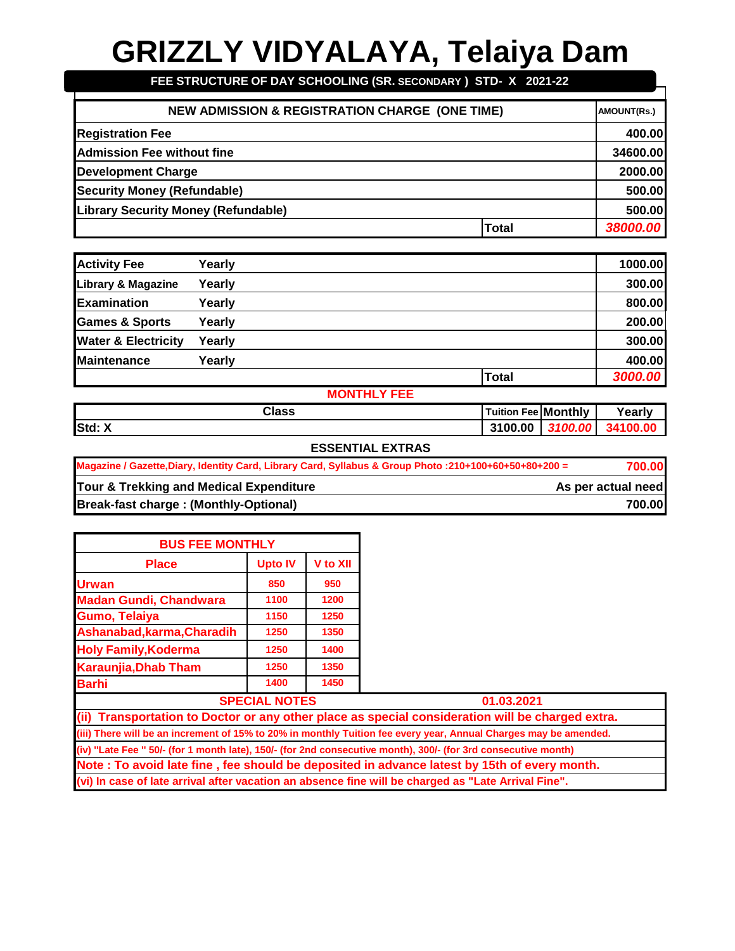## **FEE STRUCTURE OF DAY SCHOOLING (SR. SECONDARY ) STD- X 2021-22**

| <b>NEW ADMISSION &amp; REGISTRATION CHARGE (ONE TIME)</b> |          |  |
|-----------------------------------------------------------|----------|--|
| <b>Registration Fee</b>                                   | 400.00   |  |
| <b>Admission Fee without fine</b>                         | 34600.00 |  |
| <b>Development Charge</b>                                 | 2000.00  |  |
| <b>Security Money (Refundable)</b>                        | 500.00   |  |
| <b>Library Security Money (Refundable)</b>                | 500.00   |  |
| Total                                                     | 38000.00 |  |

| <b>Activity Fee</b>            | Yearly |       | 1000.00 |
|--------------------------------|--------|-------|---------|
| Library & Magazine             | Yearly |       | 300.00  |
| Examination                    | Yearly |       | 800.00  |
| <b>Games &amp; Sports</b>      | Yearly |       | 200.00  |
| <b>Water &amp; Electricity</b> | Yearly |       | 300.00  |
| Maintenance                    | Yearly |       | 400.00  |
|                                |        | Total | 3000.00 |

### **MONTHLY FEE**

| Class          | <b>Tuition Fee Monthly</b> |                                | Yearly     |
|----------------|----------------------------|--------------------------------|------------|
| $Std: \lambda$ | 3100.00                    | <b>TOTO</b><br>24<br>ונ<br>,,, | 341<br>וחו |

### **ESSENTIAL EXTRAS**

| Magazine / Gazette, Diary, Identity Card, Library Card, Syllabus & Group Photo: 210+100+60+50+80+200 = | 700.00             |
|--------------------------------------------------------------------------------------------------------|--------------------|
| Tour & Trekking and Medical Expenditure                                                                | As per actual need |
| <b>Break-fast charge: (Monthly-Optional)</b>                                                           | 700.00             |

| <b>BUS FEE MONTHLY</b>        |                      |                 |                                                                                                                  |
|-------------------------------|----------------------|-----------------|------------------------------------------------------------------------------------------------------------------|
| <b>Place</b>                  | <b>Upto IV</b>       | <b>V</b> to XII |                                                                                                                  |
| <b>Urwan</b>                  | 850                  | 950             |                                                                                                                  |
| <b>Madan Gundi, Chandwara</b> | 1100                 | 1200            |                                                                                                                  |
| Gumo, Telaiya                 | 1150                 | 1250            |                                                                                                                  |
| Ashanabad, karma, Charadih    | 1250                 | 1350            |                                                                                                                  |
| <b>Holy Family, Koderma</b>   | 1250                 | 1400            |                                                                                                                  |
| <b>Karaunjia, Dhab Tham</b>   | 1250                 | 1350            |                                                                                                                  |
| <b>Barhi</b>                  | 1400                 | 1450            |                                                                                                                  |
|                               | <b>SPECIAL NOTES</b> |                 | 01.03.2021                                                                                                       |
|                               |                      |                 | (ii) Transportation to Doctor or any other place as special consideration will be charged extra.                 |
|                               |                      |                 | (iii) There will be an increment of 15% to 20% in monthly Tuition fee every year, Annual Charges may be amended. |
|                               |                      |                 | (iv) "Late Fee " 50/- (for 1 month late), 150/- (for 2nd consecutive month), 300/- (for 3rd consecutive month)   |
|                               |                      |                 | Note: To avoid late fine, fee should be deposited in advance latest by 15th of every month.                      |
|                               |                      |                 |                                                                                                                  |

**(vi) In case of late arrival after vacation an absence fine will be charged as "Late Arrival Fine".**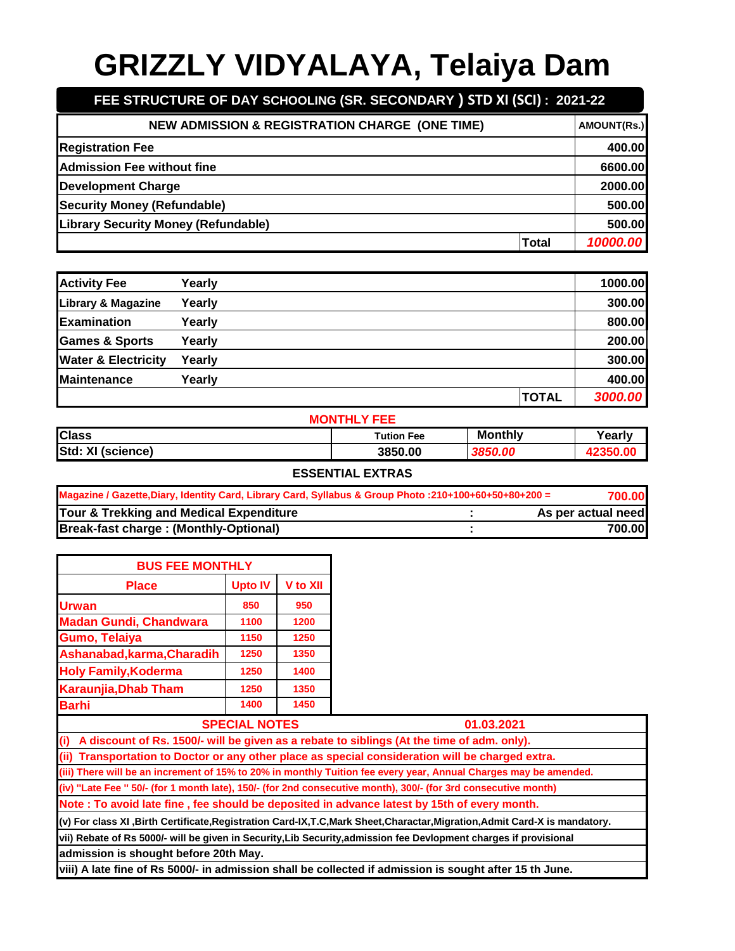# **FEE STRUCTURE OF DAY SCHOOLING (SR. SECONDARY ) STD XI (SCI) : 2021-22**

| <b>NEW ADMISSION &amp; REGISTRATION CHARGE (ONE TIME)</b> |  |          |
|-----------------------------------------------------------|--|----------|
| <b>Registration Fee</b>                                   |  | 400.00   |
| <b>Admission Fee without fine</b>                         |  | 6600.00  |
| <b>Development Charge</b>                                 |  | 2000.00  |
| <b>Security Money (Refundable)</b>                        |  | 500.00   |
| <b>Library Security Money (Refundable)</b>                |  | 500.00   |
| <b>Total</b>                                              |  | 10000.00 |

| <b>Activity Fee</b>            | Yearly |  |              | 1000.00 |
|--------------------------------|--------|--|--------------|---------|
| <b>Library &amp; Magazine</b>  | Yearly |  |              | 300.00  |
| <b>Examination</b>             | Yearly |  |              | 800.00  |
| <b>Games &amp; Sports</b>      | Yearly |  |              | 200.00  |
| <b>Water &amp; Electricity</b> | Yearly |  |              | 300.00  |
| <b>Maintenance</b>             | Yearly |  |              | 400.00  |
|                                |        |  | <b>TOTAL</b> | 3000.00 |

| <b>MONTHLY FEE</b> |                   |                |          |  |  |
|--------------------|-------------------|----------------|----------|--|--|
| <b>Class</b>       | <b>Tution Fee</b> | <b>Monthly</b> | Yearly   |  |  |
| Std: XI (science)  | 3850.00           | 3850.00        | 42350.00 |  |  |

| Magazine / Gazette, Diary, Identity Card, Library Card, Syllabus & Group Photo: 210+100+60+50+80+200 = | 700.00             |
|--------------------------------------------------------------------------------------------------------|--------------------|
| Tour & Trekking and Medical Expenditure                                                                | As per actual need |
| <b>Break-fast charge: (Monthly-Optional)</b>                                                           | 700.00             |

| <b>BUS FEE MONTHLY</b>                |                |                 |                                                                                                                               |  |  |
|---------------------------------------|----------------|-----------------|-------------------------------------------------------------------------------------------------------------------------------|--|--|
| <b>Place</b>                          | <b>Upto IV</b> | <b>V</b> to XII |                                                                                                                               |  |  |
| <b>Urwan</b>                          | 850            | 950             |                                                                                                                               |  |  |
| <b>Madan Gundi, Chandwara</b>         | 1100           | 1200            |                                                                                                                               |  |  |
| Gumo, Telaiya                         | 1150           | 1250            |                                                                                                                               |  |  |
| Ashanabad, karma, Charadih            | 1250           | 1350            |                                                                                                                               |  |  |
| <b>Holy Family, Koderma</b>           | 1250           | 1400            |                                                                                                                               |  |  |
| <b>Karaunjia, Dhab Tham</b>           | 1250           | 1350            |                                                                                                                               |  |  |
| <b>Barhi</b>                          | 1400           | 1450            |                                                                                                                               |  |  |
| <b>SPECIAL NOTES</b><br>01.03.2021    |                |                 |                                                                                                                               |  |  |
| (i)                                   |                |                 | A discount of Rs. 1500/- will be given as a rebate to siblings (At the time of adm. only).                                    |  |  |
|                                       |                |                 | (ii) Transportation to Doctor or any other place as special consideration will be charged extra.                              |  |  |
|                                       |                |                 | (iii) There will be an increment of 15% to 20% in monthly Tuition fee every year, Annual Charges may be amended.              |  |  |
|                                       |                |                 | (iv) "Late Fee " 50/- (for 1 month late), 150/- (for 2nd consecutive month), 300/- (for 3rd consecutive month)                |  |  |
|                                       |                |                 | Note: To avoid late fine, fee should be deposited in advance latest by 15th of every month.                                   |  |  |
|                                       |                |                 | (v) For class XI , Birth Certificate, Registration Card-IX, T.C, Mark Sheet, Charactar, Migration, Admit Card-X is mandatory. |  |  |
|                                       |                |                 | vii) Rebate of Rs 5000/- will be given in Security, Lib Security, admission fee Devlopment charges if provisional             |  |  |
| admission is shought before 20th May. |                |                 |                                                                                                                               |  |  |
|                                       |                |                 | viii) A late fine of Rs 5000/- in admission shall be collected if admission is sought after 15 th June.                       |  |  |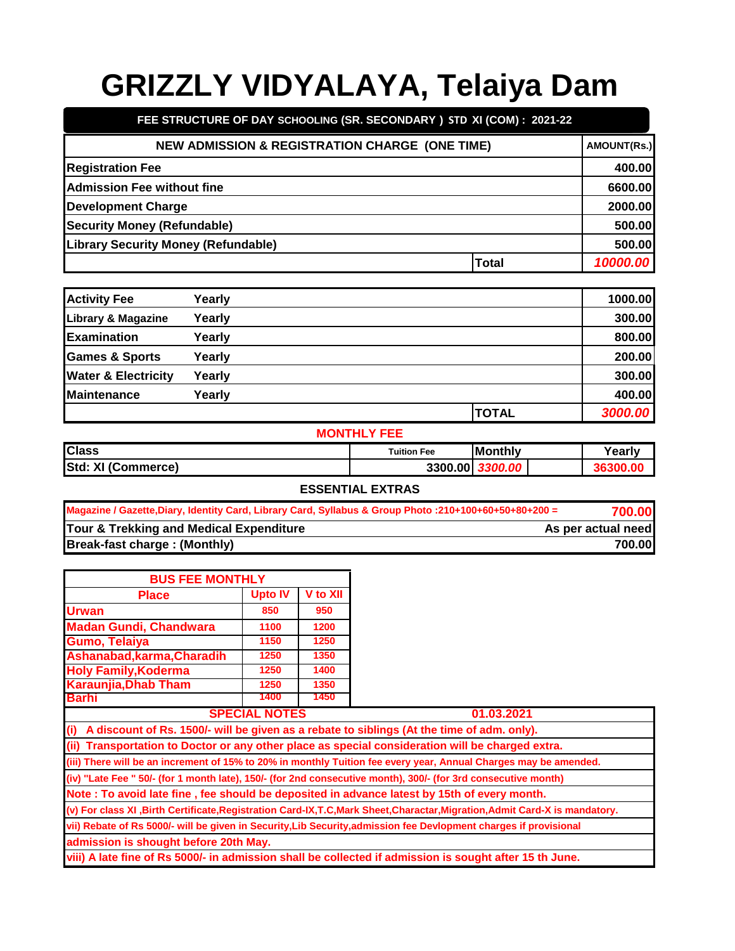| FEE STRUCTURE OF DAY SCHOOLING (SR. SECONDARY ) STD XI (COM) : 2021-22 |       |                    |
|------------------------------------------------------------------------|-------|--------------------|
| <b>NEW ADMISSION &amp; REGISTRATION CHARGE (ONE TIME)</b>              |       | <b>AMOUNT(Rs.)</b> |
| <b>Registration Fee</b>                                                |       | 400.00             |
| <b>Admission Fee without fine</b>                                      |       | 6600.00            |
| <b>Development Charge</b>                                              |       | 2000.00            |
| <b>Security Money (Refundable)</b>                                     |       | 500.00             |
| <b>Library Security Money (Refundable)</b>                             |       | 500.00             |
|                                                                        | Total | 10000.00           |

| <b>Activity Fee</b>            | Yearly |              | 1000.00 |
|--------------------------------|--------|--------------|---------|
| <b>Library &amp; Magazine</b>  | Yearly |              | 300.00  |
| Examination                    | Yearly |              | 800.00  |
| <b>Games &amp; Sports</b>      | Yearly |              | 200.00  |
| <b>Water &amp; Electricity</b> | Yearly |              | 300.00  |
| <b>Maintenance</b>             | Yearly |              | 400.00  |
|                                |        | <b>TOTAL</b> | 3000.00 |

#### **MONTHLY FEE**

| <b>Class</b>             | <b>Tuition Fee</b> | <b>Monthly</b> | Year |
|--------------------------|--------------------|----------------|------|
| Std:<br>(Commerce)<br>XI | 3300.00            |                |      |

| Magazine / Gazette, Diary, Identity Card, Library Card, Syllabus & Group Photo: 210+100+60+50+80+200 = | 700.00             |
|--------------------------------------------------------------------------------------------------------|--------------------|
| Tour & Trekking and Medical Expenditure                                                                | As per actual need |
| Break-fast charge: (Monthly)                                                                           | 700.00             |

| <b>BUS FEE MONTHLY</b>                                                                                  |                                                                                                                   |          |                                                                                                                              |  |  |
|---------------------------------------------------------------------------------------------------------|-------------------------------------------------------------------------------------------------------------------|----------|------------------------------------------------------------------------------------------------------------------------------|--|--|
| <b>Place</b>                                                                                            | <b>Upto IV</b>                                                                                                    | V to XII |                                                                                                                              |  |  |
| <b>Urwan</b>                                                                                            | 850                                                                                                               | 950      |                                                                                                                              |  |  |
| <b>Madan Gundi, Chandwara</b>                                                                           | 1100                                                                                                              | 1200     |                                                                                                                              |  |  |
| <b>Gumo, Telaiya</b>                                                                                    | 1150                                                                                                              | 1250     |                                                                                                                              |  |  |
| Ashanabad, karma, Charadih                                                                              | 1250                                                                                                              | 1350     |                                                                                                                              |  |  |
| <b>Holy Family, Koderma</b>                                                                             | 1250                                                                                                              | 1400     |                                                                                                                              |  |  |
| <b>Karaunjia, Dhab Tham</b>                                                                             | 1250                                                                                                              | 1350     |                                                                                                                              |  |  |
| Barhi                                                                                                   | 1400                                                                                                              | 1450     |                                                                                                                              |  |  |
| <b>SPECIAL NOTES</b><br>01.03.2021                                                                      |                                                                                                                   |          |                                                                                                                              |  |  |
| (i)<br>A discount of Rs. 1500/- will be given as a rebate to siblings (At the time of adm. only).       |                                                                                                                   |          |                                                                                                                              |  |  |
|                                                                                                         |                                                                                                                   |          | (ii) Transportation to Doctor or any other place as special consideration will be charged extra.                             |  |  |
|                                                                                                         |                                                                                                                   |          | (iii) There will be an increment of 15% to 20% in monthly Tuition fee every year, Annual Charges may be amended.             |  |  |
|                                                                                                         |                                                                                                                   |          | (iv) "Late Fee " 50/- (for 1 month late), 150/- (for 2nd consecutive month), 300/- (for 3rd consecutive month)               |  |  |
|                                                                                                         |                                                                                                                   |          | Note: To avoid late fine, fee should be deposited in advance latest by 15th of every month.                                  |  |  |
|                                                                                                         |                                                                                                                   |          | (v) For class XI, Birth Certificate, Registration Card-IX, T.C, Mark Sheet, Charactar, Migration, Admit Card-X is mandatory. |  |  |
|                                                                                                         | vii) Rebate of Rs 5000/- will be given in Security, Lib Security, admission fee Devlopment charges if provisional |          |                                                                                                                              |  |  |
| admission is shought before 20th May.                                                                   |                                                                                                                   |          |                                                                                                                              |  |  |
| viii) A late fine of Rs 5000/- in admission shall be collected if admission is sought after 15 th June. |                                                                                                                   |          |                                                                                                                              |  |  |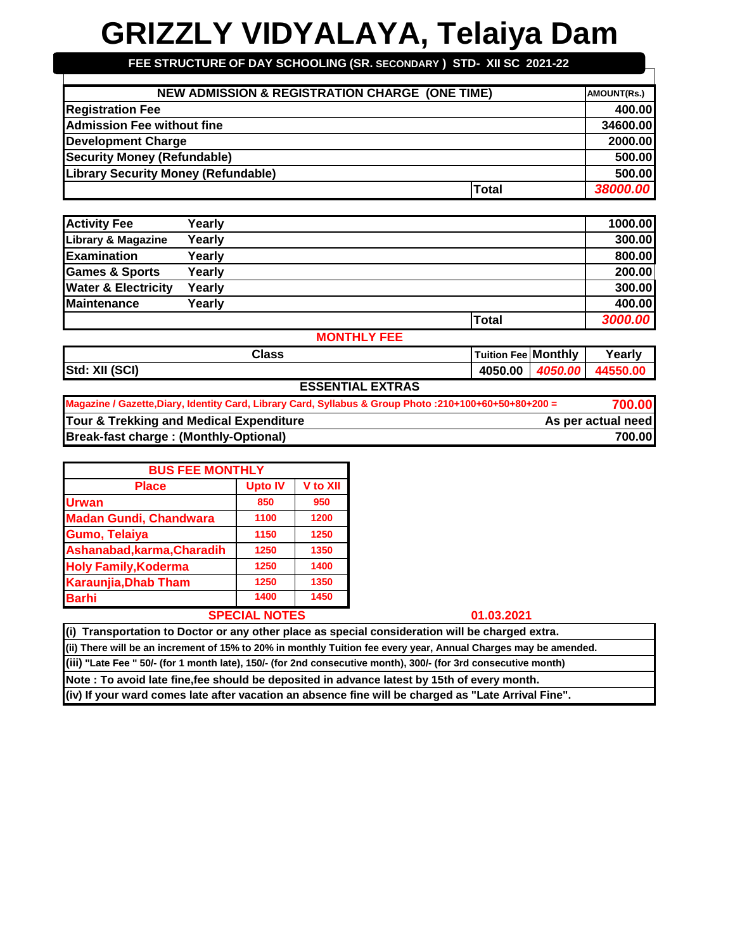**FEE STRUCTURE OF DAY SCHOOLING (SR. SECONDARY ) STD- XII SC 2021-22**

| <b>NEW ADMISSION &amp; REGISTRATION CHARGE (ONE TIME)</b> |              | <b>AMOUNT(Rs.)</b> |
|-----------------------------------------------------------|--------------|--------------------|
| <b>Registration Fee</b>                                   |              | 400.00             |
| <b>Admission Fee without fine</b>                         |              | 34600.00           |
| <b>Development Charge</b>                                 |              | 2000.00            |
| <b>Security Money (Refundable)</b>                        |              | 500.00             |
| <b>Library Security Money (Refundable)</b>                |              | 500.00             |
|                                                           | <b>Total</b> | 38000.00           |

| <b>Activity Fee</b>            | Yearly |                 | 1000.00 |
|--------------------------------|--------|-----------------|---------|
| <b>Library &amp; Magazine</b>  | Yearly |                 | 300.00  |
| <b>Examination</b>             | Yearly |                 | 800.00  |
| <b>Games &amp; Sports</b>      | Yearly |                 | 200.00  |
| <b>Water &amp; Electricity</b> | Yearly |                 | 300.00  |
| <b>Maintenance</b>             | Yearly |                 | 400.00  |
|                                |        | <b>Total</b>    | 3000.00 |
|                                |        | *************** |         |

**MONTHLY FEE**

| Class                                                                                                   | Tuition Fee Monthly |         | Yearly   |
|---------------------------------------------------------------------------------------------------------|---------------------|---------|----------|
| Std: XII (SCI)                                                                                          | 4050.00             | 4050.00 | 44550.00 |
| <b>ESSENTIAL EXTRAS</b>                                                                                 |                     |         |          |
| _ Monazina / Cazatta Diary, Idantity Card, Library Card, Syllabue & Croup Dhota (240) (400) CO1 501 200 |                     |         | 700 DA   |

| Magazine / Gazette, Diary, Identity Card, Library Card, Syllabus & Group Photo: 210+100+60+50+80+200 = | 700.00             |
|--------------------------------------------------------------------------------------------------------|--------------------|
| Tour & Trekking and Medical Expenditure                                                                | As per actual need |
| <b>Break-fast charge: (Monthly-Optional)</b>                                                           | 700.00             |

| <b>BUS FEE MONTHLY</b>        |                      |          |
|-------------------------------|----------------------|----------|
| <b>Place</b>                  | <b>Upto IV</b>       | V to XII |
| <b>Urwan</b>                  | 850                  | 950      |
| <b>Madan Gundi, Chandwara</b> | 1100                 | 1200     |
| <b>Gumo, Telaiya</b>          | 1150                 | 1250     |
| Ashanabad, karma, Charadih    | 1250                 | 1350     |
| <b>Holy Family, Koderma</b>   | 1250                 | 1400     |
| <b>Karaunjia, Dhab Tham</b>   | 1250                 | 1350     |
| <b>Barhi</b>                  | 1400                 | 1450     |
|                               | <b>SPECIAL NOTES</b> |          |

| (i) Transportation to Doctor or any other place as special consideration will be charged extra.                 |
|-----------------------------------------------------------------------------------------------------------------|
| (ii) There will be an increment of 15% to 20% in monthly Tuition fee every year, Annual Charges may be amended. |
| (iii) "Late Fee " 50/- (for 1 month late), 150/- (for 2nd consecutive month), 300/- (for 3rd consecutive month) |
| Note : To avoid late fine,fee should be deposited in advance latest by 15th of every month.                     |

**(iv) If your ward comes late after vacation an absence fine will be charged as "Late Arrival Fine".**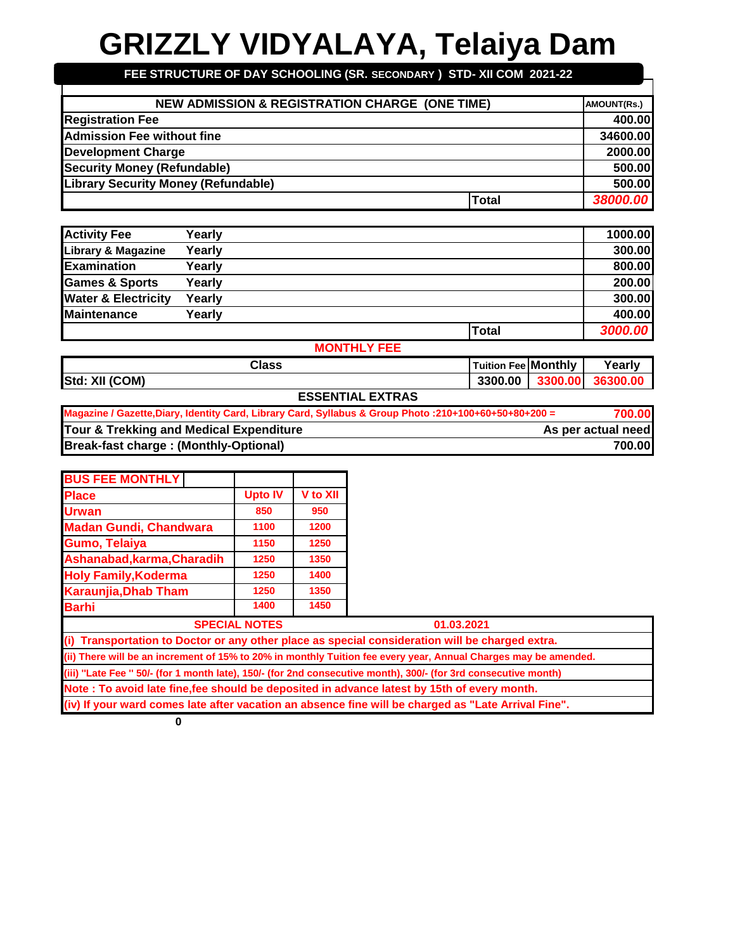## **FEE STRUCTURE OF DAY SCHOOLING (SR. SECONDARY ) STD- XII COM 2021-22**

| <b>NEW ADMISSION &amp; REGISTRATION CHARGE (ONE TIME)</b><br>AMOUNT(Rs.) |          |  |
|--------------------------------------------------------------------------|----------|--|
| <b>Registration Fee</b>                                                  | 400.00   |  |
| <b>Admission Fee without fine</b>                                        | 34600.00 |  |
| <b>Development Charge</b>                                                | 2000.00  |  |
| <b>Security Money (Refundable)</b>                                       | 500.00   |  |
| <b>Library Security Money (Refundable)</b>                               | 500.00   |  |
| Total                                                                    | 38000.00 |  |

| <b>Activity Fee</b>            | Yearly |              | 1000.00 |
|--------------------------------|--------|--------------|---------|
| <b>Library &amp; Magazine</b>  | Yearly |              | 300.00  |
| <b>Examination</b>             | Yearly |              | 800.00  |
| <b>Games &amp; Sports</b>      | Yearly |              | 200.00  |
| <b>Water &amp; Electricity</b> | Yearly |              | 300.00  |
| <b>Maintenance</b>             | Yearly |              | 400.00  |
|                                |        | <b>Total</b> | 3000.00 |

### **MONTHLY FEE**

| Class                          |  | Tuition | Fee Monthly | Yearly |  |
|--------------------------------|--|---------|-------------|--------|--|
| Std:<br>XII (COM)              |  | 3300.00 |             | 363    |  |
| $-0.0 - 0.0 - 0.0 - 0.0 - 0.0$ |  |         |             |        |  |

#### **ESSENTIAL EXTRAS**

| Magazine / Gazette, Diary, Identity Card, Library Card, Syllabus & Group Photo: 210+100+60+50+80+200 = | 700.00             |
|--------------------------------------------------------------------------------------------------------|--------------------|
| Tour & Trekking and Medical Expenditure                                                                | As per actual need |
| <b>Break-fast charge: (Monthly-Optional)</b>                                                           | 700.00             |

| <b>BUS FEE MONTHLY</b>                                           |                      |                 |  |  |
|------------------------------------------------------------------|----------------------|-----------------|--|--|
| <b>Place</b>                                                     | <b>Upto IV</b>       | <b>V</b> to XII |  |  |
| <b>Urwan</b>                                                     | 850                  | 950             |  |  |
| <b>Madan Gundi, Chandwara</b>                                    | 1100                 | 1200            |  |  |
| <b>Gumo, Telaiya</b>                                             | 1150                 | 1250            |  |  |
| Ashanabad, karma, Charadih                                       | 1250                 | 1350            |  |  |
| <b>Holy Family, Koderma</b>                                      | 1250                 | 1400            |  |  |
| Karaunjia, Dhab Tham                                             | 1250                 | 1350            |  |  |
| <b>Barhi</b>                                                     | 1400                 | 1450            |  |  |
|                                                                  | <b>SPECIAL NOTES</b> |                 |  |  |
| <b>Transportation to Doctor or any other place as special</b>    |                      |                 |  |  |
| (ii) There will be an increment of 15% to 20% in monthly Tuition |                      |                 |  |  |
|                                                                  |                      |                 |  |  |

**(a) It Consideration will be charged extra.** 

fee every year, Annual Charges may be amended.

 **SPECIAL NOTES 01.03.2021**

**(iii) ''Late Fee '' 50/- (for 1 month late), 150/- (for 2nd consecutive month), 300/- (for 3rd consecutive month) Note : To avoid late fine,fee should be deposited in advance latest by 15th of every month.**

**(iv) If your ward comes late after vacation an absence fine will be charged as "Late Arrival Fine".**

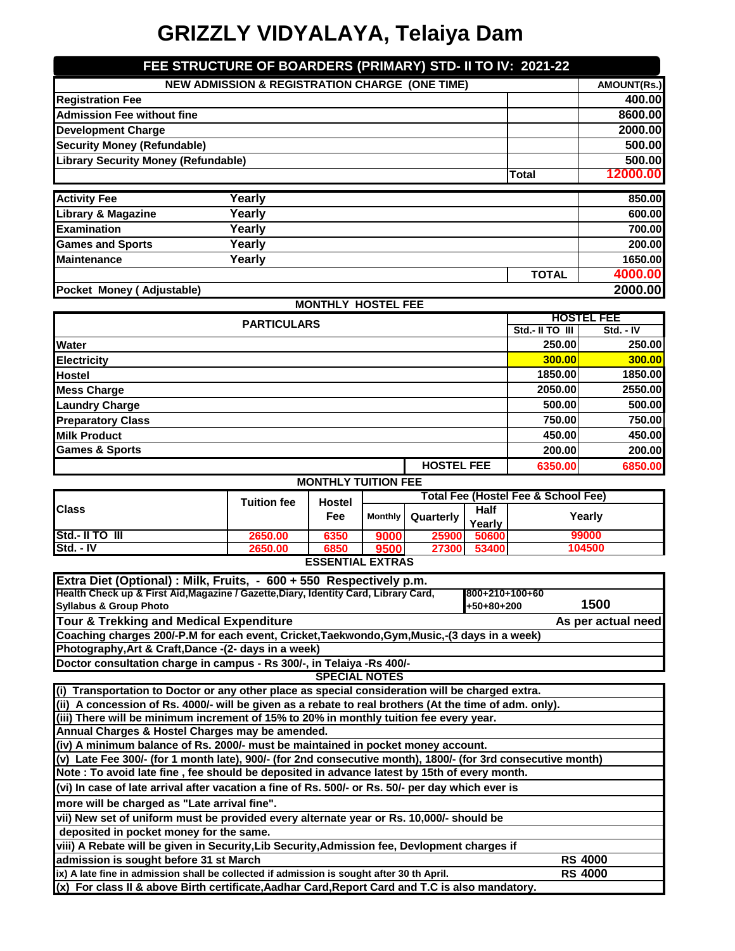| FEE STRUCTURE OF BOARDERS (PRIMARY) STD- II TO IV: 2021-22                                                                                                                                       |                                                           |                                 |                |                   |                                |                                     |                    |
|--------------------------------------------------------------------------------------------------------------------------------------------------------------------------------------------------|-----------------------------------------------------------|---------------------------------|----------------|-------------------|--------------------------------|-------------------------------------|--------------------|
|                                                                                                                                                                                                  | <b>NEW ADMISSION &amp; REGISTRATION CHARGE (ONE TIME)</b> |                                 |                |                   |                                |                                     | <b>AMOUNT(Rs.)</b> |
| <b>Registration Fee</b>                                                                                                                                                                          |                                                           |                                 |                |                   |                                |                                     | 400.00             |
| <b>Admission Fee without fine</b>                                                                                                                                                                |                                                           |                                 |                |                   |                                |                                     | 8600.00            |
| <b>Development Charge</b>                                                                                                                                                                        |                                                           |                                 |                |                   |                                |                                     | 2000.00            |
| <b>Security Money (Refundable)</b>                                                                                                                                                               |                                                           |                                 |                |                   |                                |                                     | 500.00             |
| <b>Library Security Money (Refundable)</b>                                                                                                                                                       |                                                           |                                 |                |                   |                                |                                     | 500.00             |
|                                                                                                                                                                                                  |                                                           |                                 |                |                   |                                | <b>Total</b>                        | 12000.00           |
| <b>Activity Fee</b>                                                                                                                                                                              | Yearly                                                    |                                 |                |                   |                                |                                     | 850.00             |
| Library & Magazine                                                                                                                                                                               | Yearly                                                    |                                 |                |                   |                                |                                     | 600.00             |
| <b>Examination</b>                                                                                                                                                                               | Yearly                                                    |                                 |                |                   |                                |                                     | 700.00             |
| <b>Games and Sports</b>                                                                                                                                                                          | Yearly                                                    |                                 |                |                   |                                |                                     | 200.00             |
| Maintenance                                                                                                                                                                                      | Yearly                                                    |                                 |                |                   |                                |                                     | 1650.00            |
|                                                                                                                                                                                                  |                                                           |                                 |                |                   |                                | <b>TOTAL</b>                        | 4000.00            |
| Pocket Money (Adjustable)                                                                                                                                                                        |                                                           |                                 |                |                   |                                |                                     | 2000.00            |
|                                                                                                                                                                                                  |                                                           | <b>MONTHLY HOSTEL FEE</b>       |                |                   |                                |                                     |                    |
|                                                                                                                                                                                                  | <b>PARTICULARS</b>                                        |                                 |                |                   |                                |                                     | <b>HOSTEL FEE</b>  |
|                                                                                                                                                                                                  |                                                           |                                 |                |                   |                                | Std.- II TO III                     | $Std. - IV$        |
| Water                                                                                                                                                                                            |                                                           |                                 |                |                   |                                | 250.00                              | 250.00             |
| <b>Electricity</b>                                                                                                                                                                               |                                                           |                                 |                |                   |                                | 300.00                              | 300.00             |
| <b>Hostel</b>                                                                                                                                                                                    |                                                           |                                 |                |                   |                                | 1850.00                             | 1850.00            |
| <b>Mess Charge</b>                                                                                                                                                                               |                                                           |                                 |                |                   |                                | 2050.00                             | 2550.00            |
| <b>Laundry Charge</b>                                                                                                                                                                            |                                                           |                                 |                |                   |                                | 500.00                              | 500.00             |
| <b>Preparatory Class</b>                                                                                                                                                                         |                                                           |                                 |                |                   |                                | 750.00                              | 750.00             |
| <b>Milk Product</b>                                                                                                                                                                              |                                                           |                                 |                |                   |                                | 450.00                              | 450.00             |
| <b>Games &amp; Sports</b>                                                                                                                                                                        |                                                           |                                 |                |                   |                                | 200.00                              | 200.00             |
|                                                                                                                                                                                                  |                                                           |                                 |                | <b>HOSTEL FEE</b> |                                | 6350.00                             | 6850.00            |
|                                                                                                                                                                                                  |                                                           | <b>MONTHLY TUITION FEE</b>      |                |                   |                                | Total Fee (Hostel Fee & School Fee) |                    |
| <b>Class</b>                                                                                                                                                                                     | <b>Tuition fee</b>                                        | <b>Hostel</b>                   |                |                   | <b>Half</b>                    |                                     |                    |
|                                                                                                                                                                                                  |                                                           | Fee                             | <b>Monthly</b> | Quarterly         | Yearly                         |                                     | Yearly             |
| Std.- II TO III                                                                                                                                                                                  | 2650.00                                                   | 6350                            | 9000           | 25900             | 50600                          |                                     | 99000              |
| Std. - IV                                                                                                                                                                                        | 2650.00                                                   | 6850<br><b>ESSENTIAL EXTRAS</b> | 9500           | 27300             | 53400                          |                                     | 104500             |
|                                                                                                                                                                                                  |                                                           |                                 |                |                   |                                |                                     |                    |
| Extra Diet (Optional) : Milk, Fruits, - 600 + 550 Respectively p.m.                                                                                                                              |                                                           |                                 |                |                   |                                |                                     |                    |
| Health Check up & First Aid,Magazine / Gazette,Diary, Identity Card, Library Card,<br><b>Syllabus &amp; Group Photo</b>                                                                          |                                                           |                                 |                |                   | 800+210+100+60<br>$+50+80+200$ |                                     | 1500               |
| Tour & Trekking and Medical Expenditure                                                                                                                                                          |                                                           |                                 |                |                   |                                |                                     | As per actual need |
| Coaching charges 200/-P.M for each event, Cricket, Taekwondo, Gym, Music,-(3 days in a week)                                                                                                     |                                                           |                                 |                |                   |                                |                                     |                    |
| Photography, Art & Craft, Dance -(2- days in a week)                                                                                                                                             |                                                           |                                 |                |                   |                                |                                     |                    |
| Doctor consultation charge in campus - Rs 300/-, in Telaiya - Rs 400/-                                                                                                                           |                                                           |                                 |                |                   |                                |                                     |                    |
|                                                                                                                                                                                                  |                                                           | <b>SPECIAL NOTES</b>            |                |                   |                                |                                     |                    |
| (i) Transportation to Doctor or any other place as special consideration will be charged extra.                                                                                                  |                                                           |                                 |                |                   |                                |                                     |                    |
| (ii) A concession of Rs. 4000/- will be given as a rebate to real brothers (At the time of adm. only).<br>(iii) There will be minimum increment of 15% to 20% in monthly tuition fee every year. |                                                           |                                 |                |                   |                                |                                     |                    |
| Annual Charges & Hostel Charges may be amended.                                                                                                                                                  |                                                           |                                 |                |                   |                                |                                     |                    |
| (iv) A minimum balance of Rs. 2000/- must be maintained in pocket money account.                                                                                                                 |                                                           |                                 |                |                   |                                |                                     |                    |
| (v) Late Fee 300/- (for 1 month late), 900/- (for 2nd consecutive month), 1800/- (for 3rd consecutive month)                                                                                     |                                                           |                                 |                |                   |                                |                                     |                    |
| Note: To avoid late fine, fee should be deposited in advance latest by 15th of every month.                                                                                                      |                                                           |                                 |                |                   |                                |                                     |                    |
| (vi) In case of late arrival after vacation a fine of Rs. 500/- or Rs. 50/- per day which ever is                                                                                                |                                                           |                                 |                |                   |                                |                                     |                    |
| more will be charged as "Late arrival fine".                                                                                                                                                     |                                                           |                                 |                |                   |                                |                                     |                    |
| vii) New set of uniform must be provided every alternate year or Rs. 10,000/- should be                                                                                                          |                                                           |                                 |                |                   |                                |                                     |                    |
| deposited in pocket money for the same.                                                                                                                                                          |                                                           |                                 |                |                   |                                |                                     |                    |
| viii) A Rebate will be given in Security, Lib Security, Admission fee, Devlopment charges if                                                                                                     |                                                           |                                 |                |                   |                                |                                     |                    |
| admission is sought before 31 st March                                                                                                                                                           |                                                           |                                 |                |                   |                                |                                     | <b>RS 4000</b>     |
| ix) A late fine in admission shall be collected if admission is sought after 30 th April.                                                                                                        |                                                           |                                 |                |                   |                                |                                     | <b>RS 4000</b>     |
| (x) For class II & above Birth certificate, Aadhar Card, Report Card and T.C is also mandatory.                                                                                                  |                                                           |                                 |                |                   |                                |                                     |                    |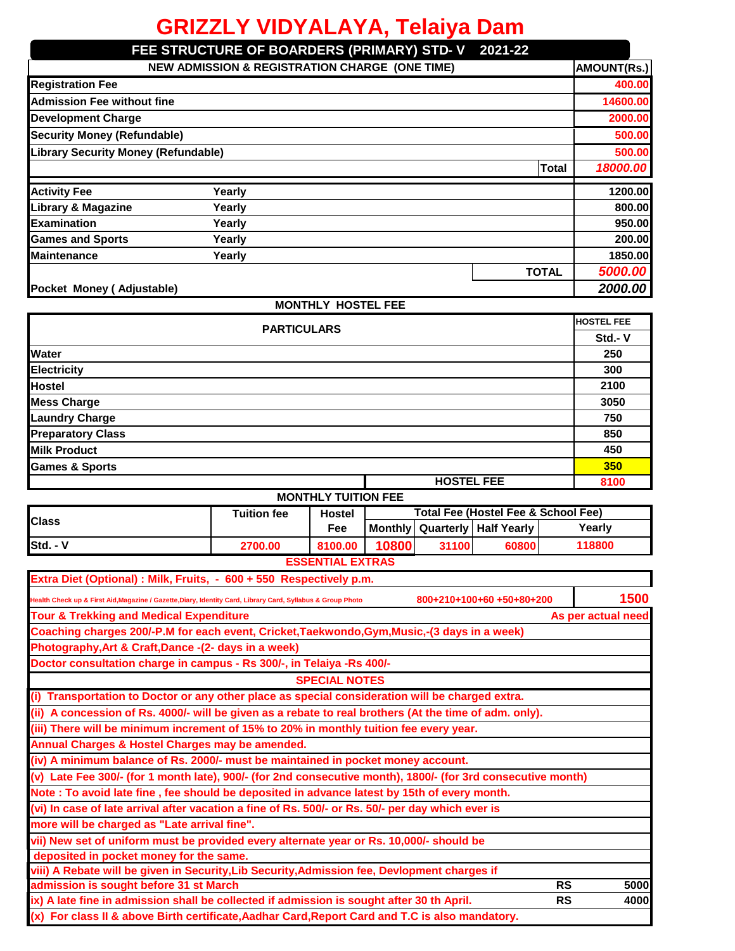|                                            |        | FEE STRUCTURE OF BOARDERS (PRIMARY) STD-V 2021-22         |              |                    |
|--------------------------------------------|--------|-----------------------------------------------------------|--------------|--------------------|
|                                            |        | <b>NEW ADMISSION &amp; REGISTRATION CHARGE (ONE TIME)</b> |              | <b>AMOUNT(Rs.)</b> |
| <b>Registration Fee</b>                    |        |                                                           |              | 400.00             |
| Admission Fee without fine                 |        |                                                           |              | 14600.00           |
| <b>Development Charge</b>                  |        |                                                           |              | 2000.00            |
| <b>Security Money (Refundable)</b>         |        |                                                           |              | 500.00             |
| <b>Library Security Money (Refundable)</b> |        |                                                           |              | 500.00             |
|                                            |        |                                                           | <b>Total</b> | 18000.00           |
| <b>Activity Fee</b>                        | Yearly |                                                           |              | 1200.00            |
| <b>Library &amp; Magazine</b>              | Yearly |                                                           |              | 800.00             |
| <b>Examination</b>                         | Yearly |                                                           |              | 950.00             |
| <b>Games and Sports</b>                    | Yearly |                                                           |              | 200.00             |
| <b>Maintenance</b>                         | Yearly |                                                           |              | 1850.00            |
|                                            |        |                                                           | <b>TOTAL</b> | 5000.00            |
| Pocket Money (Adjustable)                  |        |                                                           |              | 2000.00            |
|                                            |        | <b>MONTHLY HOSTEL FEE</b>                                 |              |                    |

| <b>PARTICULARS</b>        |                   | <b>HOSTEL FEE</b> |
|---------------------------|-------------------|-------------------|
|                           |                   | Std.-V            |
| <b>Water</b>              |                   | 250               |
| <b>Electricity</b>        |                   | 300               |
| Hostel                    |                   | 2100              |
| <b>Mess Charge</b>        |                   | 3050              |
| <b>Laundry Charge</b>     |                   | 750               |
| <b>Preparatory Class</b>  |                   | 850               |
| <b>Milk Product</b>       |                   | 450               |
| <b>Games &amp; Sports</b> |                   | 350               |
|                           | <b>HOSTEL FEE</b> | 8100              |

|                         | <b>Tuition fee</b> | <b>Hostel</b> |       | Total Fee (Hostel Fee & School Fee) |                                   |        |
|-------------------------|--------------------|---------------|-------|-------------------------------------|-----------------------------------|--------|
| <b>Class</b>            |                    | Fee           |       |                                     | Monthly   Quarterly   Half Yearly | Yearlv |
| <b>IStd. - V</b>        | 2700.00            | 8100.00       | 10800 | 31100                               | 60800                             | 118800 |
| <b>ESSENTIAL EXTRAS</b> |                    |               |       |                                     |                                   |        |

| Extra Diet (Optional) : Milk, Fruits, - 600 + 550 Respectively p.m.                                          |                           |      |
|--------------------------------------------------------------------------------------------------------------|---------------------------|------|
| Health Check up & First Aid, Magazine / Gazette, Diary, Identity Card, Library Card, Syllabus & Group Photo  | 800+210+100+60 +50+80+200 | 1500 |
| <b>Tour &amp; Trekking and Medical Expenditure</b>                                                           | As per actual need        |      |
| Coaching charges 200/-P.M for each event, Cricket, Taekwondo, Gym, Music,-(3 days in a week)                 |                           |      |
| Photography, Art & Craft, Dance -(2- days in a week)                                                         |                           |      |
| Doctor consultation charge in campus - Rs 300/-, in Telaiya -Rs 400/-                                        |                           |      |
| <b>SPECIAL NOTES</b>                                                                                         |                           |      |
| (i) Transportation to Doctor or any other place as special consideration will be charged extra.              |                           |      |
| (ii) A concession of Rs. 4000/- will be given as a rebate to real brothers (At the time of adm. only).       |                           |      |
| (iii) There will be minimum increment of 15% to 20% in monthly tuition fee every year.                       |                           |      |
| Annual Charges & Hostel Charges may be amended.                                                              |                           |      |
| (iv) A minimum balance of Rs. 2000/- must be maintained in pocket money account.                             |                           |      |
| (v) Late Fee 300/- (for 1 month late), 900/- (for 2nd consecutive month), 1800/- (for 3rd consecutive month) |                           |      |
| Note: To avoid late fine, fee should be deposited in advance latest by 15th of every month.                  |                           |      |
| (vi) In case of late arrival after vacation a fine of Rs. 500/- or Rs. 50/- per day which ever is            |                           |      |
| more will be charged as "Late arrival fine".                                                                 |                           |      |
| vii) New set of uniform must be provided every alternate year or Rs. 10,000/- should be                      |                           |      |
| deposited in pocket money for the same.                                                                      |                           |      |
| viii) A Rebate will be given in Security, Lib Security, Admission fee, Devlopment charges if                 |                           |      |
| admission is sought before 31 st March                                                                       | <b>RS</b>                 | 5000 |
| ix) A late fine in admission shall be collected if admission is sought after 30 th April.                    | <b>RS</b>                 | 4000 |
| (x) For class II & above Birth certificate, Aadhar Card, Report Card and T.C is also mandatory.              |                           |      |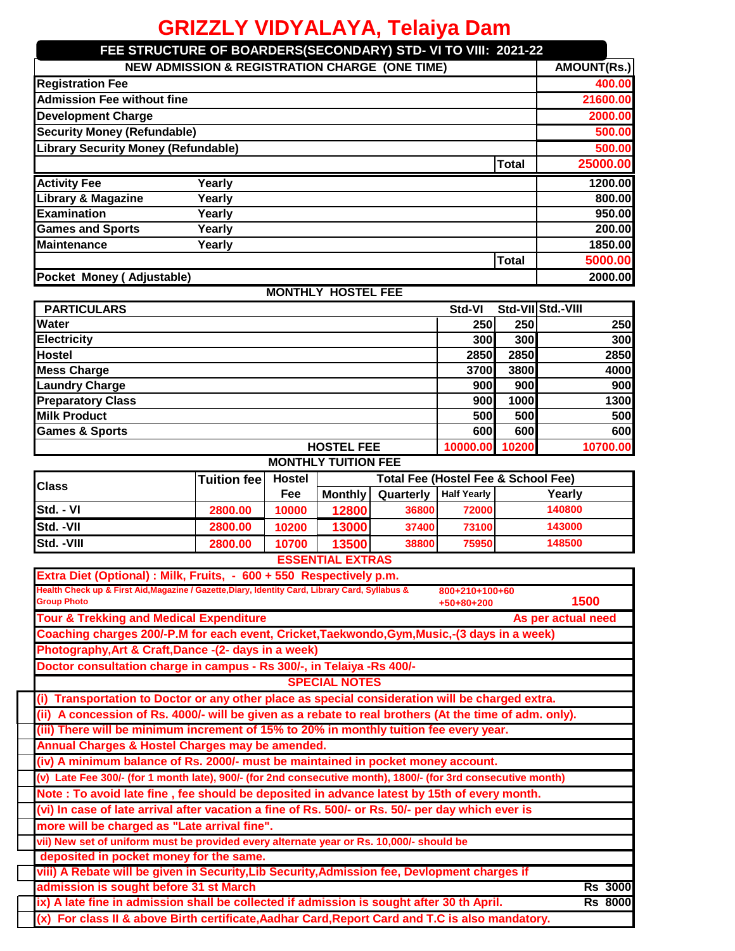|                                                                                                                       | GRIZZLY VIDYALAYA, Telaiya Dam                                                                                                                                                                            |               |                            |                                                |                                |              |                    |
|-----------------------------------------------------------------------------------------------------------------------|-----------------------------------------------------------------------------------------------------------------------------------------------------------------------------------------------------------|---------------|----------------------------|------------------------------------------------|--------------------------------|--------------|--------------------|
| FEE STRUCTURE OF BOARDERS(SECONDARY) STD- VI TO VIII: 2021-22                                                         |                                                                                                                                                                                                           |               |                            |                                                |                                |              |                    |
|                                                                                                                       | <b>NEW ADMISSION &amp; REGISTRATION CHARGE (ONE TIME)</b>                                                                                                                                                 |               |                            |                                                |                                |              | <b>AMOUNT(Rs.)</b> |
| <b>Registration Fee</b>                                                                                               |                                                                                                                                                                                                           |               |                            |                                                |                                |              | 400.00             |
| <b>Admission Fee without fine</b>                                                                                     |                                                                                                                                                                                                           |               |                            |                                                |                                |              | 21600.00           |
| <b>Development Charge</b>                                                                                             |                                                                                                                                                                                                           |               |                            |                                                |                                |              | 2000.00            |
| <b>Security Money (Refundable)</b>                                                                                    |                                                                                                                                                                                                           |               |                            |                                                |                                |              | 500.00             |
| <b>Library Security Money (Refundable)</b>                                                                            |                                                                                                                                                                                                           |               |                            |                                                |                                |              | 500.00             |
| <b>Total</b>                                                                                                          |                                                                                                                                                                                                           |               |                            |                                                |                                |              | 25000.00           |
|                                                                                                                       | Yearly                                                                                                                                                                                                    |               |                            |                                                |                                |              |                    |
| <b>Activity Fee</b><br>Library & Magazine                                                                             | Yearly                                                                                                                                                                                                    |               |                            |                                                |                                |              | 1200.00<br>800.00  |
| <b>Examination</b>                                                                                                    | Yearly                                                                                                                                                                                                    |               |                            |                                                |                                |              | 950.00             |
| <b>Games and Sports</b>                                                                                               | Yearly                                                                                                                                                                                                    |               |                            |                                                |                                |              | 200.00             |
| <b>Maintenance</b>                                                                                                    | Yearly                                                                                                                                                                                                    |               |                            |                                                |                                |              | 1850.00            |
|                                                                                                                       |                                                                                                                                                                                                           |               |                            |                                                |                                | <b>Total</b> | 5000.00            |
|                                                                                                                       |                                                                                                                                                                                                           |               |                            |                                                |                                |              |                    |
| Pocket Money (Adjustable)                                                                                             |                                                                                                                                                                                                           |               |                            |                                                |                                |              | 2000.00            |
|                                                                                                                       |                                                                                                                                                                                                           |               | <b>MONTHLY HOSTEL FEE</b>  |                                                |                                |              |                    |
| <b>PARTICULARS</b>                                                                                                    |                                                                                                                                                                                                           |               |                            |                                                | Std-VI                         |              | Std-VII Std.-VIII  |
| <b>Water</b>                                                                                                          |                                                                                                                                                                                                           |               |                            |                                                | 250                            | 250          | 250                |
| <b>Electricity</b>                                                                                                    |                                                                                                                                                                                                           |               |                            |                                                | 300                            | 300          | 300                |
| <b>Hostel</b>                                                                                                         |                                                                                                                                                                                                           |               |                            |                                                | 2850                           | 2850         | 2850               |
| <b>Mess Charge</b>                                                                                                    |                                                                                                                                                                                                           |               |                            |                                                | 3700                           | 3800         | 4000               |
| <b>Laundry Charge</b>                                                                                                 |                                                                                                                                                                                                           |               |                            |                                                | 900                            | 900          | 900                |
| <b>Preparatory Class</b>                                                                                              |                                                                                                                                                                                                           |               |                            |                                                | 900                            | 1000         | 1300               |
| <b>Milk Product</b>                                                                                                   |                                                                                                                                                                                                           |               |                            |                                                | 500                            | 500          | 500                |
| <b>Games &amp; Sports</b>                                                                                             |                                                                                                                                                                                                           |               |                            |                                                | 600                            | 600          | 600                |
|                                                                                                                       |                                                                                                                                                                                                           |               | <b>HOSTEL FEE</b>          |                                                | 10000.00                       | 10200        | 10700.00           |
|                                                                                                                       |                                                                                                                                                                                                           |               | <b>MONTHLY TUITION FEE</b> |                                                |                                |              |                    |
| <b>Class</b>                                                                                                          | <b>Tuition fee</b>                                                                                                                                                                                        | <b>Hostel</b> |                            | <b>Total Fee (Hostel Fee &amp; School Fee)</b> |                                |              |                    |
|                                                                                                                       |                                                                                                                                                                                                           | Fee           | <b>Monthly</b>             | Quarterly                                      | <b>Half Yearly</b>             |              | Yearly             |
| Std. - VI                                                                                                             | 2800.00                                                                                                                                                                                                   | 10000         | 12800                      | 36800                                          | 72000                          |              | 140800             |
| Std. - VII                                                                                                            | 2800.00                                                                                                                                                                                                   | 10200         | 13000                      | 37400                                          | 73100                          |              | 143000             |
| Std. - VIII                                                                                                           | 2800.00                                                                                                                                                                                                   | 10700         | 13500                      | 38800                                          | 75950                          |              | 148500             |
|                                                                                                                       |                                                                                                                                                                                                           |               | <b>ESSENTIAL EXTRAS</b>    |                                                |                                |              |                    |
| Extra Diet (Optional): Milk, Fruits, - 600 + 550 Respectively p.m.                                                    |                                                                                                                                                                                                           |               |                            |                                                |                                |              |                    |
| Health Check up & First Aid, Magazine / Gazette, Diary, Identity Card, Library Card, Syllabus &<br><b>Group Photo</b> |                                                                                                                                                                                                           |               |                            |                                                | 800+210+100+60<br>$+50+80+200$ |              | 1500               |
| <b>Tour &amp; Trekking and Medical Expenditure</b>                                                                    |                                                                                                                                                                                                           |               |                            |                                                |                                |              | As per actual need |
| Coaching charges 200/-P.M for each event, Cricket,Taekwondo,Gym,Music,-(3 days in a week)                             |                                                                                                                                                                                                           |               |                            |                                                |                                |              |                    |
| Photography, Art & Craft, Dance - (2- days in a week)                                                                 |                                                                                                                                                                                                           |               |                            |                                                |                                |              |                    |
| Doctor consultation charge in campus - Rs 300/-, in Telaiya -Rs 400/-                                                 |                                                                                                                                                                                                           |               |                            |                                                |                                |              |                    |
| <b>SPECIAL NOTES</b>                                                                                                  |                                                                                                                                                                                                           |               |                            |                                                |                                |              |                    |
|                                                                                                                       |                                                                                                                                                                                                           |               |                            |                                                |                                |              |                    |
|                                                                                                                       | (i) Transportation to Doctor or any other place as special consideration will be charged extra.<br>(ii) A concession of Rs. 4000/- will be given as a rebate to real brothers (At the time of adm. only). |               |                            |                                                |                                |              |                    |
| (iii) There will be minimum increment of 15% to 20% in monthly tuition fee every year.                                |                                                                                                                                                                                                           |               |                            |                                                |                                |              |                    |
| Annual Charges & Hostel Charges may be amended.                                                                       |                                                                                                                                                                                                           |               |                            |                                                |                                |              |                    |
| (iv) A minimum balance of Rs. 2000/- must be maintained in pocket money account.                                      |                                                                                                                                                                                                           |               |                            |                                                |                                |              |                    |
| (v) Late Fee 300/- (for 1 month late), 900/- (for 2nd consecutive month), 1800/- (for 3rd consecutive month)          |                                                                                                                                                                                                           |               |                            |                                                |                                |              |                    |
| Note: To avoid late fine, fee should be deposited in advance latest by 15th of every month.                           |                                                                                                                                                                                                           |               |                            |                                                |                                |              |                    |
|                                                                                                                       |                                                                                                                                                                                                           |               |                            |                                                |                                |              |                    |

**(vi) In case of late arrival after vacation a fine of Rs. 500/- or Rs. 50/- per day which ever is** 

**more will be charged as "Late arrival fine".**

**vii) New set of uniform must be provided every alternate year or Rs. 10,000/- should be** 

 **deposited in pocket money for the same.**

| webconce in pection money for the camer                                                           |                |
|---------------------------------------------------------------------------------------------------|----------------|
| Viii) A Rebate will be given in Security, Lib Security, Admission fee, Devlopment charges if      |                |
| admission is sought before 31 st March                                                            | <b>Rs 3000</b> |
| ix) A late fine in admission shall be collected if admission is sought after 30 th April.         | <b>Rs 8000</b> |
| $(x)$ For class II & above Birth certificate, Aadhar Card, Report Card and T.C is also mandatory. |                |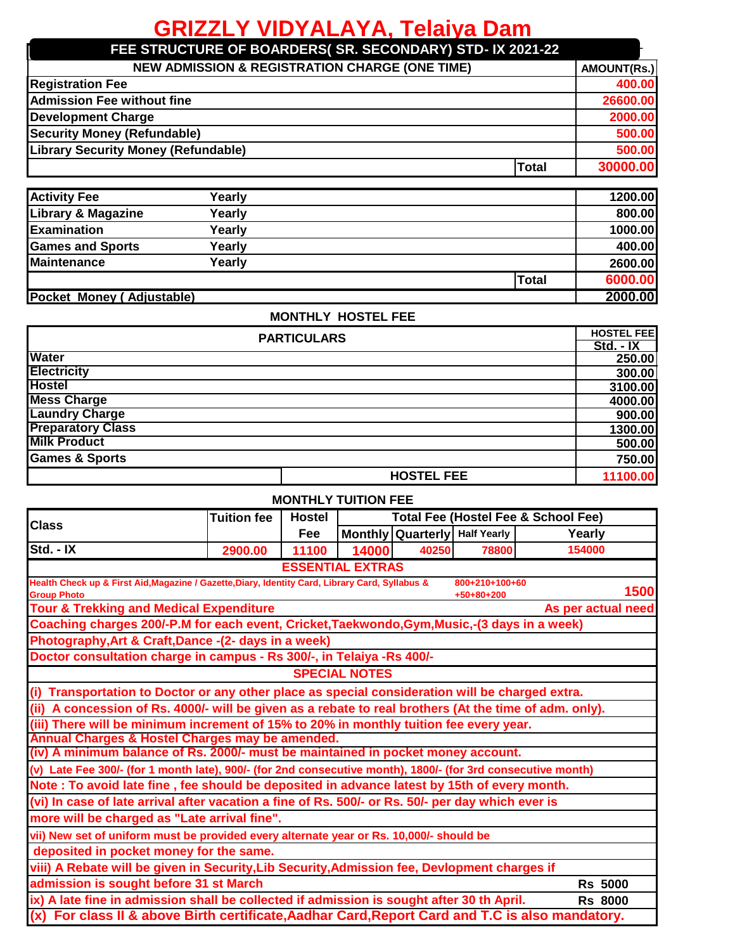| FEE STRUCTURE OF BOARDERS( SR. SECONDARY) STD- IX 2021-22 |              |                    |
|-----------------------------------------------------------|--------------|--------------------|
| <b>NEW ADMISSION &amp; REGISTRATION CHARGE (ONE TIME)</b> |              | <b>AMOUNT(Rs.)</b> |
| <b>Registration Fee</b>                                   |              | 400.00             |
| <b>Admission Fee without fine</b>                         |              | 26600.00           |
| <b>Development Charge</b>                                 |              | 2000.00            |
| <b>Security Money (Refundable)</b>                        |              | 500.00             |
| <b>Library Security Money (Refundable)</b>                |              | 500.00             |
|                                                           | <b>Total</b> | 30000.00           |

| <b>Activity Fee</b>              | Yearly |              | 1200.00 |
|----------------------------------|--------|--------------|---------|
| <b>Library &amp; Magazine</b>    | Yearly |              | 800.00  |
| Examination                      | Yearly |              | 1000.00 |
| <b>Games and Sports</b>          | Yearly |              | 400.00  |
| Maintenance                      | Yearly |              | 2600.00 |
|                                  |        | <b>Total</b> | 6000.00 |
| <b>Pocket Money (Adjustable)</b> |        |              | 2000.00 |

### **MONTHLY HOSTEL FEE**

| <b>PARTICULARS</b>        |                   |             |
|---------------------------|-------------------|-------------|
|                           |                   | $Std. - IX$ |
| <b>Water</b>              |                   | 250.00      |
| <b>Electricity</b>        |                   | 300.00      |
| <b>Hostel</b>             |                   | 3100.00     |
| <b>Mess Charge</b>        |                   | 4000.00     |
| <b>Laundry Charge</b>     |                   | 900.00      |
| <b>Preparatory Class</b>  |                   | 1300.00     |
| <b>Milk Product</b>       |                   | 500.00      |
| <b>Games &amp; Sports</b> |                   | 750.00      |
|                           | <b>HOSTEL FEE</b> | 11100.00    |

|                                                                                                                       | <b>Tuition fee</b> | <b>Hostel</b> |                         |                               |                                | <b>Total Fee (Hostel Fee &amp; School Fee)</b> |  |
|-----------------------------------------------------------------------------------------------------------------------|--------------------|---------------|-------------------------|-------------------------------|--------------------------------|------------------------------------------------|--|
| <b>Class</b>                                                                                                          |                    | Fee           |                         | Monthly Quarterly Half Yearly |                                | Yearly                                         |  |
| Std. - IX                                                                                                             | 2900.00            | 11100         | 14000                   | 40250                         | 78800                          | 154000                                         |  |
|                                                                                                                       |                    |               | <b>ESSENTIAL EXTRAS</b> |                               |                                |                                                |  |
| Health Check up & First Aid, Magazine / Gazette, Diary, Identity Card, Library Card, Syllabus &<br><b>Group Photo</b> |                    |               |                         |                               | 800+210+100+60<br>$+50+80+200$ | 1500                                           |  |
| <b>Tour &amp; Trekking and Medical Expenditure</b><br>As per actual need                                              |                    |               |                         |                               |                                |                                                |  |
| Coaching charges 200/-P.M for each event, Cricket, Taekwondo, Gym, Music,-(3 days in a week)                          |                    |               |                         |                               |                                |                                                |  |
| Photography, Art & Craft, Dance - (2- days in a week)                                                                 |                    |               |                         |                               |                                |                                                |  |
| Doctor consultation charge in campus - Rs 300/-, in Telaiya - Rs 400/-                                                |                    |               |                         |                               |                                |                                                |  |
| <b>SPECIAL NOTES</b>                                                                                                  |                    |               |                         |                               |                                |                                                |  |
| Transportation to Doctor or any other place as special consideration will be charged extra.<br>(i)                    |                    |               |                         |                               |                                |                                                |  |
| A concession of Rs. 4000/- will be given as a rebate to real brothers (At the time of adm. only).<br>(ii)             |                    |               |                         |                               |                                |                                                |  |
| (iii) There will be minimum increment of 15% to 20% in monthly tuition fee every year.                                |                    |               |                         |                               |                                |                                                |  |
| Annual Charges & Hostel Charges may be amended.                                                                       |                    |               |                         |                               |                                |                                                |  |
| (iv) A minimum balance of Rs. 2000/- must be maintained in pocket money account.                                      |                    |               |                         |                               |                                |                                                |  |
| (v) Late Fee 300/- (for 1 month late), 900/- (for 2nd consecutive month), 1800/- (for 3rd consecutive month)          |                    |               |                         |                               |                                |                                                |  |
| Note: To avoid late fine, fee should be deposited in advance latest by 15th of every month.                           |                    |               |                         |                               |                                |                                                |  |
| (vi) In case of late arrival after vacation a fine of Rs. 500/- or Rs. 50/- per day which ever is                     |                    |               |                         |                               |                                |                                                |  |
| more will be charged as "Late arrival fine".                                                                          |                    |               |                         |                               |                                |                                                |  |
| vii) New set of uniform must be provided every alternate year or Rs. 10,000/- should be                               |                    |               |                         |                               |                                |                                                |  |
| deposited in pocket money for the same.                                                                               |                    |               |                         |                               |                                |                                                |  |
| viii) A Rebate will be given in Security, Lib Security, Admission fee, Devlopment charges if                          |                    |               |                         |                               |                                |                                                |  |
| admission is sought before 31 st March<br><b>Rs 5000</b>                                                              |                    |               |                         |                               |                                |                                                |  |
| ix) A late fine in admission shall be collected if admission is sought after 30 th April.                             |                    |               |                         |                               |                                | <b>Rs 8000</b>                                 |  |
| (x) For class II & above Birth certificate, Aadhar Card, Report Card and T.C is also mandatory.                       |                    |               |                         |                               |                                |                                                |  |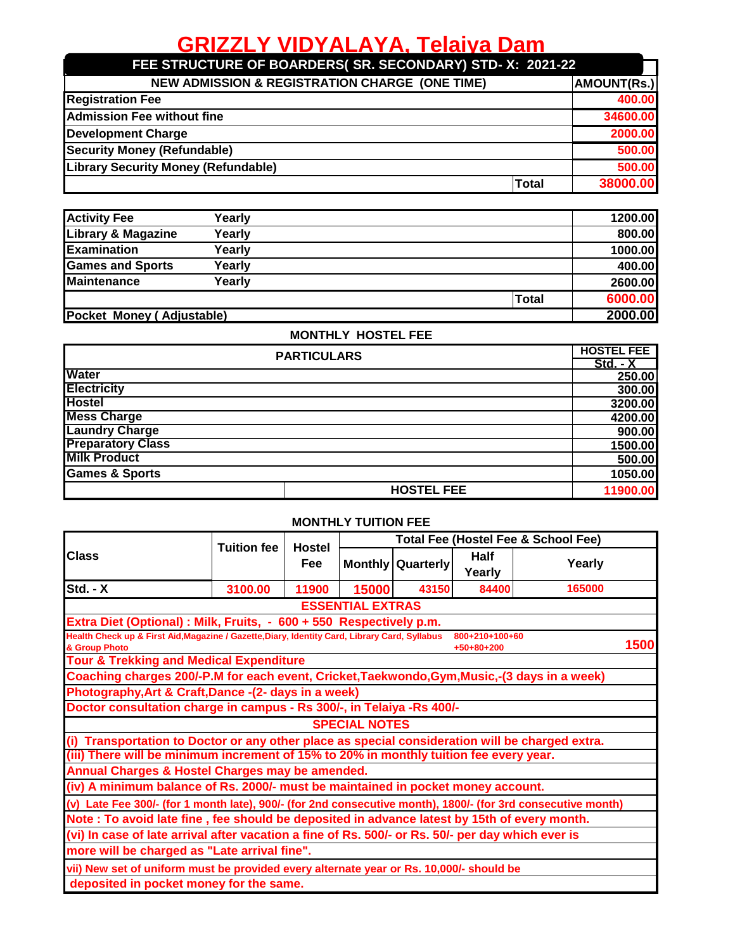| FEE STRUCTURE OF BOARDERS( SR. SECONDARY) STD-X: 2021-22  |              |                    |
|-----------------------------------------------------------|--------------|--------------------|
| <b>NEW ADMISSION &amp; REGISTRATION CHARGE (ONE TIME)</b> |              | <b>AMOUNT(Rs.)</b> |
| <b>Registration Fee</b>                                   |              | 400.00             |
| <b>Admission Fee without fine</b>                         |              | 34600.00           |
| <b>Development Charge</b>                                 |              | 2000.00            |
| <b>Security Money (Refundable)</b>                        |              | 500.00             |
| <b>Library Security Money (Refundable)</b>                |              | 500.00             |
|                                                           | <b>Total</b> | 38000.00           |

| <b>Activity Fee</b>           | Yearly |              | 1200.00 |
|-------------------------------|--------|--------------|---------|
| <b>Library &amp; Magazine</b> | Yearly |              | 800.00  |
| Examination                   | Yearly |              | 1000.00 |
| <b>Games and Sports</b>       | Yearly |              | 400.00  |
| <b>Maintenance</b>            | Yearly |              | 2600.00 |
|                               |        | <b>Total</b> | 6000.00 |
| Pocket Money (Adjustable)     |        |              | 2000.00 |

### **MONTHLY HOSTEL FEE**

|                           | <b>HOSTEL FEE</b> |          |  |
|---------------------------|-------------------|----------|--|
| <b>PARTICULARS</b>        |                   |          |  |
| <b>Water</b>              |                   | 250.00   |  |
| <b>Electricity</b>        |                   | 300.00   |  |
| <b>Hostel</b>             |                   | 3200.00  |  |
| <b>Mess Charge</b>        | 4200.00           |          |  |
| <b>Laundry Charge</b>     |                   | 900.00   |  |
| <b>Preparatory Class</b>  |                   | 1500.00  |  |
| <b>Milk Product</b>       |                   | 500.00   |  |
| <b>Games &amp; Sports</b> | 1050.00           |          |  |
|                           | <b>HOSTEL FEE</b> | 11900.00 |  |

|                                                                                                                                                          |                    |                      | <b>Total Fee (Hostel Fee &amp; School Fee)</b> |                          |                       |        |  |
|----------------------------------------------------------------------------------------------------------------------------------------------------------|--------------------|----------------------|------------------------------------------------|--------------------------|-----------------------|--------|--|
| <b>Class</b>                                                                                                                                             | <b>Tuition fee</b> | <b>Hostel</b><br>Fee |                                                | <b>Monthly Quarterly</b> | <b>Half</b><br>Yearly | Yearly |  |
| $Std. - X$                                                                                                                                               | 3100.00            | 11900                | 15000                                          | 43150                    | 84400                 | 165000 |  |
| <b>ESSENTIAL EXTRAS</b>                                                                                                                                  |                    |                      |                                                |                          |                       |        |  |
| Extra Diet (Optional) : Milk, Fruits, - 600 + 550 Respectively p.m.                                                                                      |                    |                      |                                                |                          |                       |        |  |
| Health Check up & First Aid, Magazine / Gazette, Diary, Identity Card, Library Card, Syllabus<br>800+210+100+60<br>1500<br>& Group Photo<br>$+50+80+200$ |                    |                      |                                                |                          |                       |        |  |
| <b>Tour &amp; Trekking and Medical Expenditure</b>                                                                                                       |                    |                      |                                                |                          |                       |        |  |
| Coaching charges 200/-P.M for each event, Cricket, Taekwondo, Gym, Music,-(3 days in a week)                                                             |                    |                      |                                                |                          |                       |        |  |
| Photography, Art & Craft, Dance -(2- days in a week)                                                                                                     |                    |                      |                                                |                          |                       |        |  |
| Doctor consultation charge in campus - Rs 300/-, in Telaiya - Rs 400/-                                                                                   |                    |                      |                                                |                          |                       |        |  |
|                                                                                                                                                          |                    |                      | <b>SPECIAL NOTES</b>                           |                          |                       |        |  |
| (i) Transportation to Doctor or any other place as special consideration will be charged extra.                                                          |                    |                      |                                                |                          |                       |        |  |
| (iii) There will be minimum increment of 15% to 20% in monthly tuition fee every year.                                                                   |                    |                      |                                                |                          |                       |        |  |
| Annual Charges & Hostel Charges may be amended.                                                                                                          |                    |                      |                                                |                          |                       |        |  |
| (iv) A minimum balance of Rs. 2000/- must be maintained in pocket money account.                                                                         |                    |                      |                                                |                          |                       |        |  |
| (v) Late Fee 300/- (for 1 month late), 900/- (for 2nd consecutive month), 1800/- (for 3rd consecutive month)                                             |                    |                      |                                                |                          |                       |        |  |
| Note: To avoid late fine, fee should be deposited in advance latest by 15th of every month.                                                              |                    |                      |                                                |                          |                       |        |  |
| (vi) In case of late arrival after vacation a fine of Rs. 500/- or Rs. 50/- per day which ever is                                                        |                    |                      |                                                |                          |                       |        |  |
| more will be charged as "Late arrival fine".                                                                                                             |                    |                      |                                                |                          |                       |        |  |
| vii) New set of uniform must be provided every alternate year or Rs. 10,000/- should be                                                                  |                    |                      |                                                |                          |                       |        |  |
| deposited in pocket money for the same.                                                                                                                  |                    |                      |                                                |                          |                       |        |  |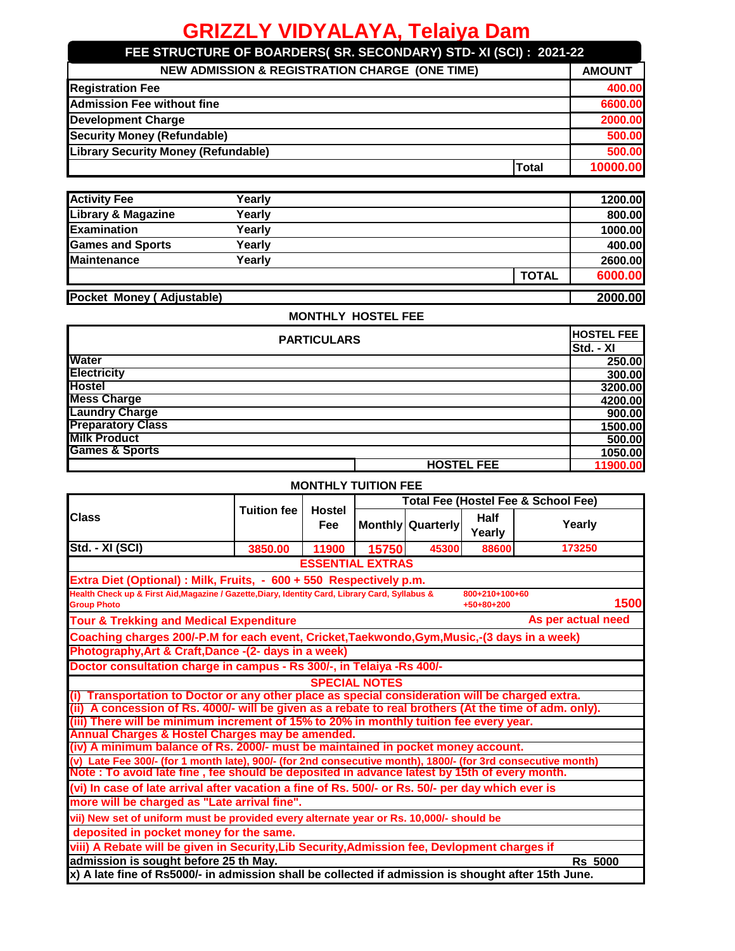#### **AMOUNT 400.00 6600.00 2000.00 500.00 500.00 Total 10000.00 Library Security Money (Refundable) NEW ADMISSION & REGISTRATION CHARGE (ONE TIME) Registration Fee Admission Fee without fine Development Charge Security Money (Refundable) FEE STRUCTURE OF BOARDERS( SR. SECONDARY) STD- XI (SCI) : 2021-22**

| <b>Activity Fee</b>              | Yearly |              | 1200.00 |
|----------------------------------|--------|--------------|---------|
| Library & Magazine               | Yearlv |              | 800.00  |
| <b>Examination</b>               | Yearlv |              | 1000.00 |
| <b>Games and Sports</b>          | Yearlv |              | 400.00  |
| <b>Maintenance</b>               | Yearlv |              | 2600.00 |
|                                  |        | <b>TOTAL</b> | 6000.00 |
| <b>Pocket Money (Adjustable)</b> |        |              | 2000.00 |

### **MONTHLY HOSTEL FEE**

| <b>PARTICULARS</b>        |                   |           |
|---------------------------|-------------------|-----------|
|                           |                   | Std. - XI |
| <b>Water</b>              |                   | 250.00    |
| <b>Electricity</b>        |                   | 300.00    |
| <b>Hostel</b>             |                   | 3200.00   |
| <b>Mess Charge</b>        |                   | 4200.00   |
| <b>Laundry Charge</b>     |                   | 900.00    |
| <b>Preparatory Class</b>  |                   | 1500.00   |
| <b>Milk Product</b>       |                   | 500.00    |
| <b>Games &amp; Sports</b> |                   | 1050.00   |
|                           | <b>HOSTEL FEE</b> | 11900.00  |

|                                                                                                              |                                                                                                                                           |               |                      |                          |        | <b>Total Fee (Hostel Fee &amp; School Fee)</b> |  |
|--------------------------------------------------------------------------------------------------------------|-------------------------------------------------------------------------------------------------------------------------------------------|---------------|----------------------|--------------------------|--------|------------------------------------------------|--|
| <b>Class</b>                                                                                                 | <b>Tuition fee</b>                                                                                                                        | <b>Hostel</b> |                      |                          | Half   |                                                |  |
|                                                                                                              |                                                                                                                                           | Fee           |                      | <b>Monthly Quarterly</b> | Yearly | Yearly                                         |  |
| Std. - XI (SCI)                                                                                              | 3850.00                                                                                                                                   | 11900         | 15750                | 45300                    | 88600  | 173250                                         |  |
| <b>ESSENTIAL EXTRAS</b>                                                                                      |                                                                                                                                           |               |                      |                          |        |                                                |  |
| Extra Diet (Optional) : Milk, Fruits, - 600 + 550 Respectively p.m.                                          |                                                                                                                                           |               |                      |                          |        |                                                |  |
| <b>Group Photo</b>                                                                                           | Health Check up & First Aid, Magazine / Gazette, Diary, Identity Card, Library Card, Syllabus &<br>800+210+100+60<br>1500<br>$+50+80+200$ |               |                      |                          |        |                                                |  |
| <b>Tour &amp; Trekking and Medical Expenditure</b>                                                           |                                                                                                                                           |               |                      |                          |        | As per actual need                             |  |
| Coaching charges 200/-P.M for each event, Cricket, Taekwondo, Gym, Music,-(3 days in a week)                 |                                                                                                                                           |               |                      |                          |        |                                                |  |
| Photography, Art & Craft, Dance -(2- days in a week)                                                         |                                                                                                                                           |               |                      |                          |        |                                                |  |
| Doctor consultation charge in campus - Rs 300/-, in Telaiya - Rs 400/-                                       |                                                                                                                                           |               |                      |                          |        |                                                |  |
|                                                                                                              |                                                                                                                                           |               | <b>SPECIAL NOTES</b> |                          |        |                                                |  |
| (i) Transportation to Doctor or any other place as special consideration will be charged extra.              |                                                                                                                                           |               |                      |                          |        |                                                |  |
| $(i)$ A concession of Rs. 4000/- will be given as a rebate to real brothers (At the time of adm. only).      |                                                                                                                                           |               |                      |                          |        |                                                |  |
| (iii) There will be minimum increment of 15% to 20% in monthly tuition fee every year.                       |                                                                                                                                           |               |                      |                          |        |                                                |  |
| Annual Charges & Hostel Charges may be amended.                                                              |                                                                                                                                           |               |                      |                          |        |                                                |  |
| (iv) A minimum balance of Rs. 2000/- must be maintained in pocket money account.                             |                                                                                                                                           |               |                      |                          |        |                                                |  |
| (v) Late Fee 300/- (for 1 month late), 900/- (for 2nd consecutive month), 1800/- (for 3rd consecutive month) |                                                                                                                                           |               |                      |                          |        |                                                |  |
| Note: To avoid late fine, fee should be deposited in advance latest by 15th of every month.                  |                                                                                                                                           |               |                      |                          |        |                                                |  |
| (vi) In case of late arrival after vacation a fine of Rs. 500/- or Rs. 50/- per day which ever is            |                                                                                                                                           |               |                      |                          |        |                                                |  |
| more will be charged as "Late arrival fine".                                                                 |                                                                                                                                           |               |                      |                          |        |                                                |  |
| vii) New set of uniform must be provided every alternate year or Rs. 10,000/- should be                      |                                                                                                                                           |               |                      |                          |        |                                                |  |
| deposited in pocket money for the same.                                                                      |                                                                                                                                           |               |                      |                          |        |                                                |  |
| viii) A Rebate will be given in Security, Lib Security, Admission fee, Devlopment charges if                 |                                                                                                                                           |               |                      |                          |        |                                                |  |
| admission is sought before 25 th May.                                                                        |                                                                                                                                           |               |                      |                          |        | <b>Rs 5000</b>                                 |  |
| x) A late fine of Rs5000/- in admission shall be collected if admission is shought after 15th June.          |                                                                                                                                           |               |                      |                          |        |                                                |  |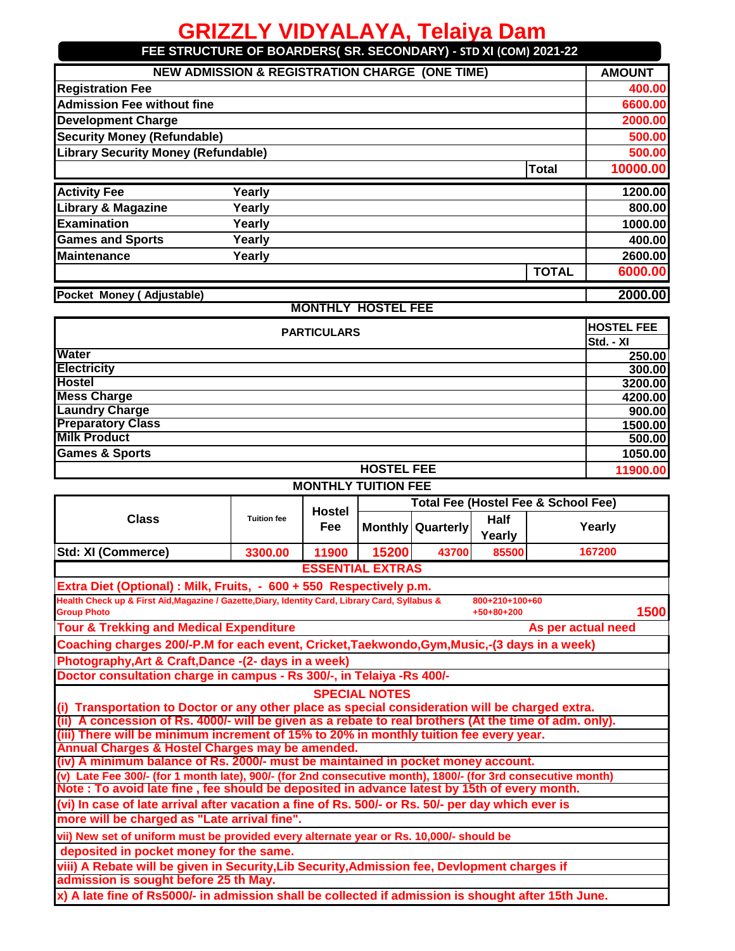|                                            |        | FEE STRUCTURE OF BOARDERS( SR. SECONDARY) - STD XI (COM) 2021-22 |              |               |
|--------------------------------------------|--------|------------------------------------------------------------------|--------------|---------------|
|                                            |        | <b>NEW ADMISSION &amp; REGISTRATION CHARGE (ONE TIME)</b>        |              | <b>AMOUNT</b> |
| <b>Registration Fee</b>                    |        |                                                                  |              | 400.00        |
| <b>Admission Fee without fine</b>          |        |                                                                  |              | 6600.00       |
| <b>Development Charge</b>                  |        |                                                                  |              | 2000.00       |
| <b>Security Money (Refundable)</b>         |        |                                                                  |              | 500.00        |
| <b>Library Security Money (Refundable)</b> |        |                                                                  |              | 500.00        |
|                                            |        |                                                                  | <b>Total</b> | 10000.00      |
| <b>Activity Fee</b>                        | Yearly |                                                                  |              | 1200.00       |
| <b>Library &amp; Magazine</b>              | Yearly |                                                                  |              | 800.00        |
| <b>Examination</b>                         | Yearly |                                                                  |              | 1000.00       |
| <b>Games and Sports</b>                    | Yearly |                                                                  |              | 400.00        |
| <b>Maintenance</b>                         | Yearly |                                                                  |              | 2600.00       |
|                                            |        |                                                                  | <b>TOTAL</b> | 6000.00       |
| Pocket Money (Adjustable)                  |        |                                                                  |              | 2000.00       |

| $\blacksquare$            |                           | ∸∪∪…∪∪            |
|---------------------------|---------------------------|-------------------|
|                           | <b>MONTHLY HOSTEL FEE</b> |                   |
|                           | <b>PARTICULARS</b>        | <b>HOSTEL FEE</b> |
|                           |                           | Std. - XI         |
| <b>Water</b>              |                           | 250.00            |
| <b>Electricity</b>        |                           | 300.00            |
| <b>Hostel</b>             |                           | 3200.00           |
| <b>Mess Charge</b>        |                           | 4200.00           |
| <b>Laundry Charge</b>     |                           | 900.00            |
| <b>Preparatory Class</b>  |                           | 1500.00           |
| <b>Milk Product</b>       |                           | 500.00            |
| <b>Games &amp; Sports</b> |                           | 1050.00           |
|                           | <b>HOSTEL FEE</b>         | 11900.00          |

|                                                                                                                   |                                                                                              | <b>Hostel</b> |                      |                   |              | <b>Total Fee (Hostel Fee &amp; School Fee)</b>                                                      |  |  |  |  |  |  |
|-------------------------------------------------------------------------------------------------------------------|----------------------------------------------------------------------------------------------|---------------|----------------------|-------------------|--------------|-----------------------------------------------------------------------------------------------------|--|--|--|--|--|--|
| <b>Class</b>                                                                                                      | <b>Tuition fee</b>                                                                           | <b>Fee</b>    |                      | Monthly Quarterly | <b>Half</b>  | Yearly                                                                                              |  |  |  |  |  |  |
|                                                                                                                   |                                                                                              |               |                      |                   | Yearly       |                                                                                                     |  |  |  |  |  |  |
| <b>Std: XI (Commerce)</b>                                                                                         | 3300.00                                                                                      | 11900         | 15200                | 43700             | 85500        | 167200                                                                                              |  |  |  |  |  |  |
|                                                                                                                   | <b>ESSENTIAL EXTRAS</b>                                                                      |               |                      |                   |              |                                                                                                     |  |  |  |  |  |  |
| Extra Diet (Optional): Milk, Fruits, - 600 + 550 Respectively p.m.                                                |                                                                                              |               |                      |                   |              |                                                                                                     |  |  |  |  |  |  |
| Health Check up & First Aid, Magazine / Gazette, Diary, Identity Card, Library Card, Syllabus &<br>800+210+100+60 |                                                                                              |               |                      |                   |              |                                                                                                     |  |  |  |  |  |  |
| <b>Group Photo</b>                                                                                                |                                                                                              |               |                      |                   | $+50+80+200$ | 1500                                                                                                |  |  |  |  |  |  |
| <b>Tour &amp; Trekking and Medical Expenditure</b>                                                                |                                                                                              |               |                      |                   |              | As per actual need                                                                                  |  |  |  |  |  |  |
| Coaching charges 200/-P.M for each event, Cricket, Taekwondo, Gym, Music,-(3 days in a week)                      |                                                                                              |               |                      |                   |              |                                                                                                     |  |  |  |  |  |  |
| Photography, Art & Craft, Dance -(2- days in a week)                                                              |                                                                                              |               |                      |                   |              |                                                                                                     |  |  |  |  |  |  |
|                                                                                                                   | Doctor consultation charge in campus - Rs 300/-, in Telaiya - Rs 400/-                       |               |                      |                   |              |                                                                                                     |  |  |  |  |  |  |
|                                                                                                                   |                                                                                              |               | <b>SPECIAL NOTES</b> |                   |              |                                                                                                     |  |  |  |  |  |  |
| (i) Transportation to Doctor or any other place as special consideration will be charged extra.                   |                                                                                              |               |                      |                   |              |                                                                                                     |  |  |  |  |  |  |
| (ii) A concession of Rs. 4000/- will be given as a rebate to real brothers (At the time of adm. only).            |                                                                                              |               |                      |                   |              |                                                                                                     |  |  |  |  |  |  |
| (iii) There will be minimum increment of 15% to 20% in monthly tuition fee every year.                            |                                                                                              |               |                      |                   |              |                                                                                                     |  |  |  |  |  |  |
| Annual Charges & Hostel Charges may be amended.                                                                   |                                                                                              |               |                      |                   |              |                                                                                                     |  |  |  |  |  |  |
| (iv) A minimum balance of Rs. 2000/- must be maintained in pocket money account.                                  |                                                                                              |               |                      |                   |              |                                                                                                     |  |  |  |  |  |  |
| (v) Late Fee 300/- (for 1 month late), 900/- (for 2nd consecutive month), 1800/- (for 3rd consecutive month)      |                                                                                              |               |                      |                   |              |                                                                                                     |  |  |  |  |  |  |
|                                                                                                                   | Note: To avoid late fine, fee should be deposited in advance latest by 15th of every month.  |               |                      |                   |              |                                                                                                     |  |  |  |  |  |  |
| (vi) In case of late arrival after vacation a fine of Rs. 500/- or Rs. 50/- per day which ever is                 |                                                                                              |               |                      |                   |              |                                                                                                     |  |  |  |  |  |  |
| more will be charged as "Late arrival fine".                                                                      |                                                                                              |               |                      |                   |              |                                                                                                     |  |  |  |  |  |  |
| vii) New set of uniform must be provided every alternate year or Rs. 10,000/- should be                           |                                                                                              |               |                      |                   |              |                                                                                                     |  |  |  |  |  |  |
| deposited in pocket money for the same.                                                                           |                                                                                              |               |                      |                   |              |                                                                                                     |  |  |  |  |  |  |
|                                                                                                                   | viii) A Rebate will be given in Security, Lib Security, Admission fee, Devlopment charges if |               |                      |                   |              |                                                                                                     |  |  |  |  |  |  |
| admission is sought before 25 th May.                                                                             |                                                                                              |               |                      |                   |              |                                                                                                     |  |  |  |  |  |  |
|                                                                                                                   |                                                                                              |               |                      |                   |              | x) A late fine of Rs5000/- in admission shall be collected if admission is shought after 15th June. |  |  |  |  |  |  |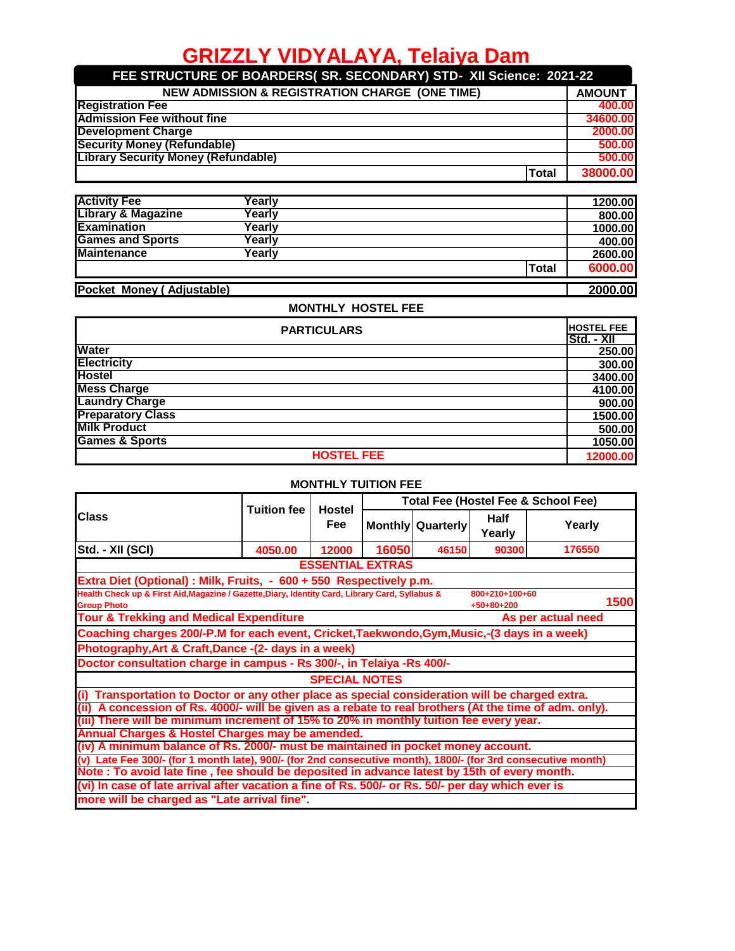#### **AMOUNT 400.00 34600.00 2000.00 NEW ADMISSION & REGISTRATION CHARGE (ONE TIME) Registration Fee Admission Fee without fine Development Charge FEE STRUCTURE OF BOARDERS( SR. SECONDARY) STD- XII Science: 2021-22**

**500.00 500.00 Total 38000.00 Library Security Money (Refundable) Security Money (Refundable)**

| <b>Activity Fee</b>           | ′earlv  |       | 1200.00 |
|-------------------------------|---------|-------|---------|
| <b>Library &amp; Magazine</b> | ⁄ earlv |       | 800,00  |
| <b>Examination</b>            | ⁄ earlv |       | 1000.00 |
| <b>Games and Sports</b>       | ∕earlv  |       | 400.00  |
| <b>Maintenance</b>            | ′earlv  |       | 2600.00 |
|                               |         | Total | 6000.00 |

**Pocket Money ( Adjustable) 2000.00**

#### **MONTHLY HOSTEL FEE**

| <b>PARTICULARS</b>        |            |
|---------------------------|------------|
|                           | Std. - XII |
| <b>Water</b>              | 250.00     |
| <b>Electricity</b>        | 300.00     |
| <b>IHostel</b>            | 3400.00    |
| <b>Mess Charge</b>        | 4100.00    |
| <b>Laundry Charge</b>     | 900.00     |
| <b>Preparatory Class</b>  | 1500.00    |
| <b>Milk Product</b>       | 500.00     |
| <b>Games &amp; Sports</b> | 1050.00    |
| <b>HOSTEL FEE</b>         | 12000.00   |

|                                                                                                                                                                                                             | <b>Tuition fee</b>                                                                           | <b>Hostel</b>        |       |                          |                       | <b>Total Fee (Hostel Fee &amp; School Fee)</b> |
|-------------------------------------------------------------------------------------------------------------------------------------------------------------------------------------------------------------|----------------------------------------------------------------------------------------------|----------------------|-------|--------------------------|-----------------------|------------------------------------------------|
| <b>Class</b>                                                                                                                                                                                                |                                                                                              | Fee                  |       | <b>Monthly Quarterly</b> | <b>Half</b><br>Yearly | Yearly                                         |
| Std. - XII (SCI)                                                                                                                                                                                            | 4050.00                                                                                      | 12000                | 16050 | 46150                    | 90300                 | 176550                                         |
| <b>ESSENTIAL EXTRAS</b>                                                                                                                                                                                     |                                                                                              |                      |       |                          |                       |                                                |
| Extra Diet (Optional): Milk, Fruits, - 600 + 550 Respectively p.m.                                                                                                                                          |                                                                                              |                      |       |                          |                       |                                                |
| Health Check up & First Aid, Magazine / Gazette, Diary, Identity Card, Library Card, Syllabus &<br>800+210+100+60<br>1500<br><b>Group Photo</b><br>$+50+80+200$                                             |                                                                                              |                      |       |                          |                       |                                                |
|                                                                                                                                                                                                             | <b>Tour &amp; Trekking and Medical Expenditure</b><br>As per actual need                     |                      |       |                          |                       |                                                |
|                                                                                                                                                                                                             | Coaching charges 200/-P.M for each event, Cricket, Taekwondo, Gym, Music,-(3 days in a week) |                      |       |                          |                       |                                                |
| Photography, Art & Craft, Dance -(2- days in a week)                                                                                                                                                        |                                                                                              |                      |       |                          |                       |                                                |
| Doctor consultation charge in campus - Rs 300/-, in Telaiya - Rs 400/-                                                                                                                                      |                                                                                              |                      |       |                          |                       |                                                |
|                                                                                                                                                                                                             |                                                                                              | <b>SPECIAL NOTES</b> |       |                          |                       |                                                |
| Transportation to Doctor or any other place as special consideration will be charged extra.                                                                                                                 |                                                                                              |                      |       |                          |                       |                                                |
| A concession of Rs. 4000/- will be given as a rebate to real brothers (At the time of adm. only).                                                                                                           |                                                                                              |                      |       |                          |                       |                                                |
| (iii) There will be minimum increment of 15% to 20% in monthly tuition fee every year.                                                                                                                      |                                                                                              |                      |       |                          |                       |                                                |
| Annual Charges & Hostel Charges may be amended.                                                                                                                                                             |                                                                                              |                      |       |                          |                       |                                                |
| (iv) A minimum balance of Rs. 2000/- must be maintained in pocket money account.                                                                                                                            |                                                                                              |                      |       |                          |                       |                                                |
| (v) Late Fee 300/- (for 1 month late), 900/- (for 2nd consecutive month), 1800/- (for 3rd consecutive month)<br>Note: To avoid late fine, fee should be deposited in advance latest by 15th of every month. |                                                                                              |                      |       |                          |                       |                                                |
| (vi) In case of late arrival after vacation a fine of Rs. 500/- or Rs. 50/- per day which ever is                                                                                                           |                                                                                              |                      |       |                          |                       |                                                |
|                                                                                                                                                                                                             |                                                                                              |                      |       |                          |                       |                                                |
| more will be charged as "Late arrival fine".                                                                                                                                                                |                                                                                              |                      |       |                          |                       |                                                |